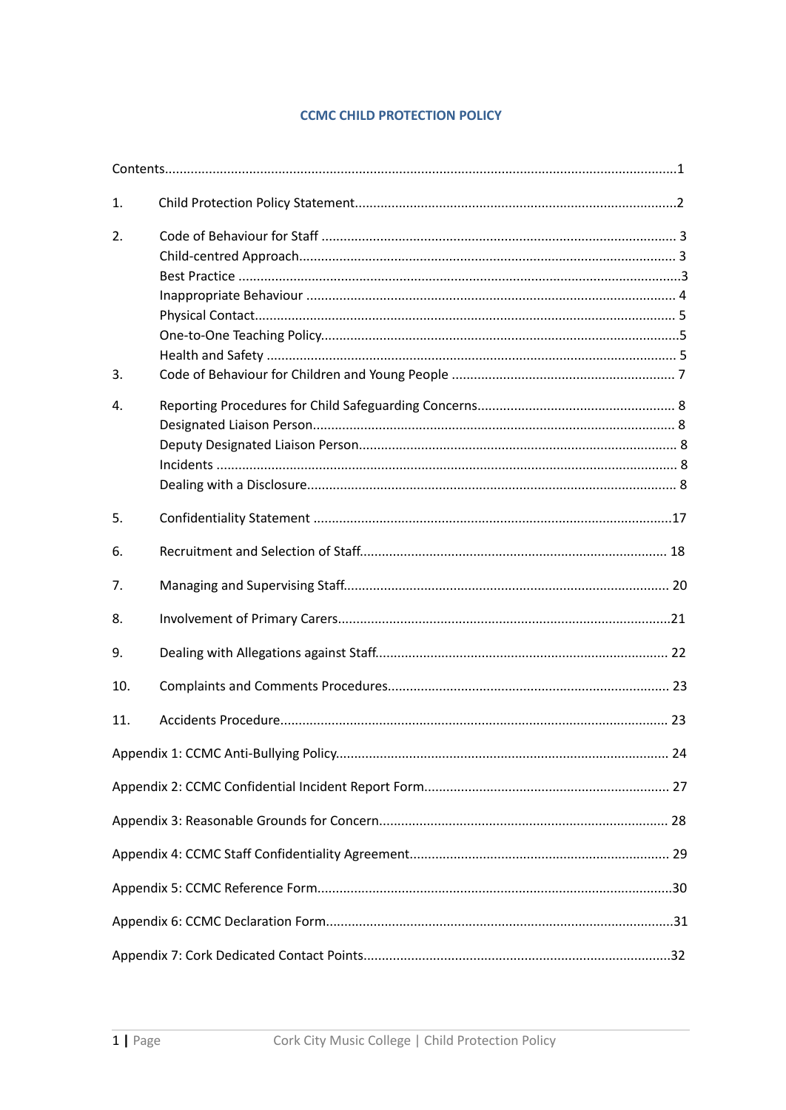## **CCMC CHILD PROTECTION POLICY**

| 1.  |  |
|-----|--|
| 2.  |  |
| 3.  |  |
| 4.  |  |
| 5.  |  |
| 6.  |  |
| 7.  |  |
| 8.  |  |
| 9.  |  |
| 10. |  |
| 11. |  |
|     |  |
|     |  |
|     |  |
|     |  |
|     |  |
|     |  |
|     |  |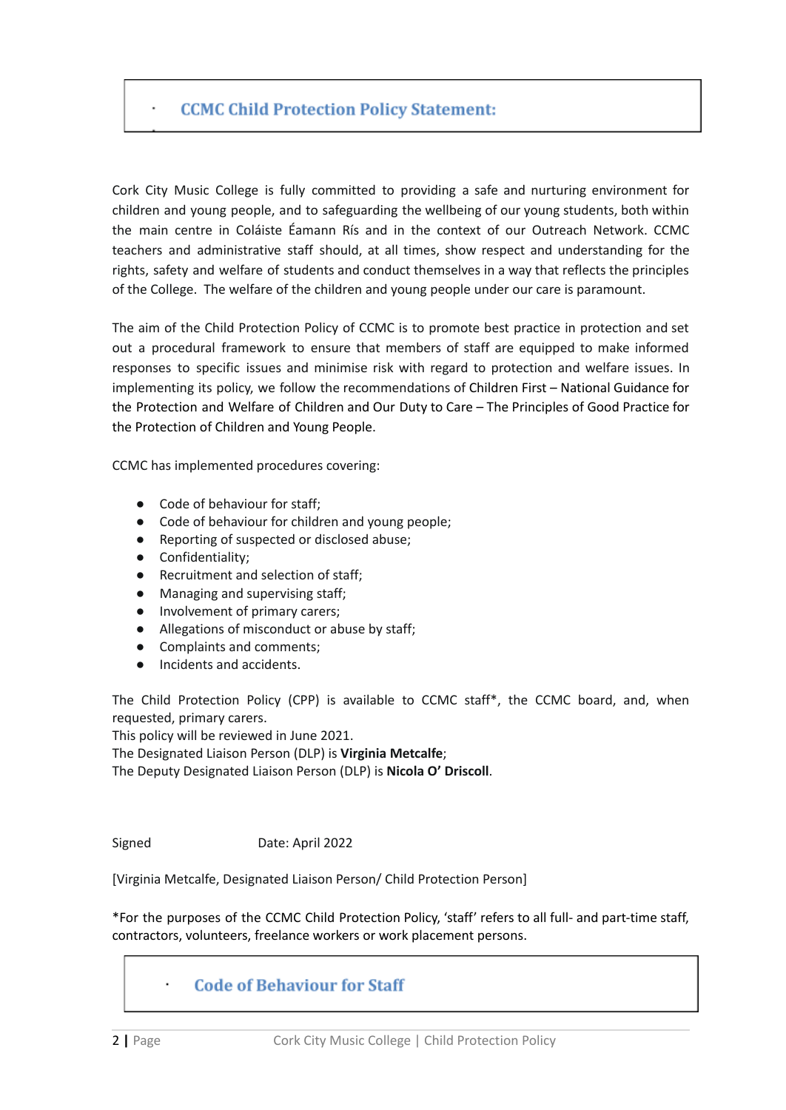## **CCMC Child Protection Policy Statement:**

Cork City Music College is fully committed to providing a safe and nurturing environment for children and young people, and to safeguarding the wellbeing of our young students, both within the main centre in Coláiste Éamann Rís and in the context of our Outreach Network. CCMC teachers and administrative staff should, at all times, show respect and understanding for the rights, safety and welfare of students and conduct themselves in a way that reflects the principles of the College. The welfare of the children and young people under our care is paramount.

The aim of the Child Protection Policy of CCMC is to promote best practice in protection and set out a procedural framework to ensure that members of staff are equipped to make informed responses to specific issues and minimise risk with regard to protection and welfare issues. In implementing its policy, we follow the recommendations of Children First – National [Guidance](https://www.newschool.ie/wp-content/uploads/2018/01/20171002ChildrenFirst2017.pdf) for the [Protection](https://www.newschool.ie/wp-content/uploads/2018/01/20171002ChildrenFirst2017.pdf) and Welfare of Children and Our Duty to Care – The [Principles](https://www.newschool.ie/wp-content/uploads/2018/01/ODTC_Full_Eng.pdf) of Good Practice for the [Protection](https://www.newschool.ie/wp-content/uploads/2018/01/ODTC_Full_Eng.pdf) of Children and Young People.

CCMC has implemented procedures covering:

- Code of behaviour for staff;
- Code of behaviour for children and young people;
- Reporting of suspected or disclosed abuse;
- Confidentiality;
- Recruitment and selection of staff;
- Managing and supervising staff;
- Involvement of primary carers;
- Allegations of misconduct or abuse by staff;
- Complaints and comments;
- Incidents and accidents.

The Child Protection Policy (CPP) is available to CCMC staff\*, the CCMC board, and, when requested, primary carers.

This policy will be reviewed in June 2021.

The Designated Liaison Person (DLP) is **Virginia Metcalfe**;

The Deputy Designated Liaison Person (DLP) is **Nicola O' Driscoll**.

Signed Date: April 2022

[Virginia Metcalfe, Designated Liaison Person/ Child Protection Person]

\*For the purposes of the CCMC Child Protection Policy, 'staff' refers to all full- and part-time staff, contractors, volunteers, freelance workers or work placement persons.

## **Code of Behaviour for Staff**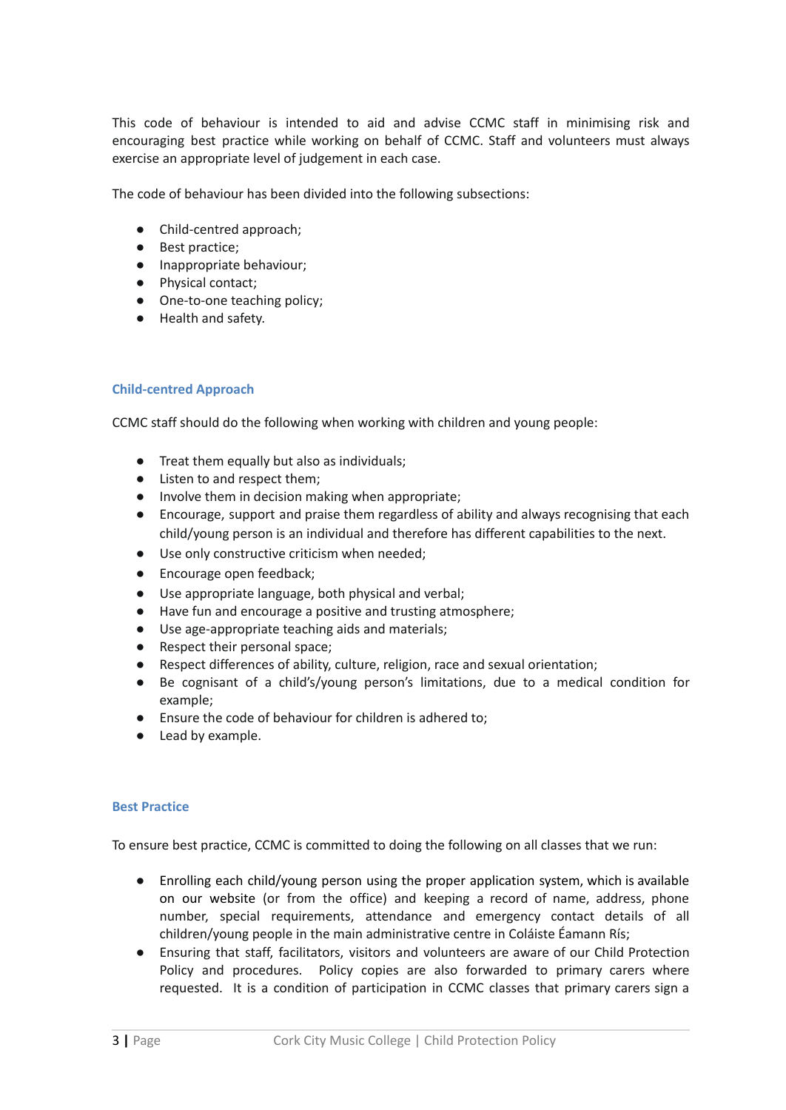This code of behaviour is intended to aid and advise CCMC staff in minimising risk and encouraging best practice while working on behalf of CCMC. Staff and volunteers must always exercise an appropriate level of judgement in each case.

The code of behaviour has been divided into the following subsections:

- Child-centred approach;
- Best practice;
- Inappropriate behaviour;
- Physical contact;
- One-to-one teaching policy;
- Health and safety.

#### **Child-centred Approach**

CCMC staff should do the following when working with children and young people:

- Treat them equally but also as individuals;
- Listen to and respect them;
- Involve them in decision making when appropriate;
- Encourage, support and praise them regardless of ability and always recognising that each child/young person is an individual and therefore has different capabilities to the next.
- Use only constructive criticism when needed;
- Encourage open feedback;
- Use appropriate language, both physical and verbal;
- Have fun and encourage a positive and trusting atmosphere;
- Use age-appropriate teaching aids and materials;
- Respect their personal space;
- Respect differences of ability, culture, religion, race and sexual orientation;
- Be cognisant of a child's/young person's limitations, due to a medical condition for example;
- Ensure the code of behaviour for children is adhered to;
- Lead by example.

#### **Best Practice**

To ensure best practice, CCMC is committed to doing the following on all classes that we run:

- Enrolling each child/young person using the proper application system, which is available on our website (or from the office) and keeping a record of name, address, phone number, special requirements, attendance and emergency contact details of all children/young people in the main administrative centre in Coláiste Éamann Rís;
- Ensuring that staff, facilitators, visitors and volunteers are aware of our Child Protection Policy and procedures. Policy copies are also forwarded to primary carers where requested. It is a condition of participation in CCMC classes that primary carers sign a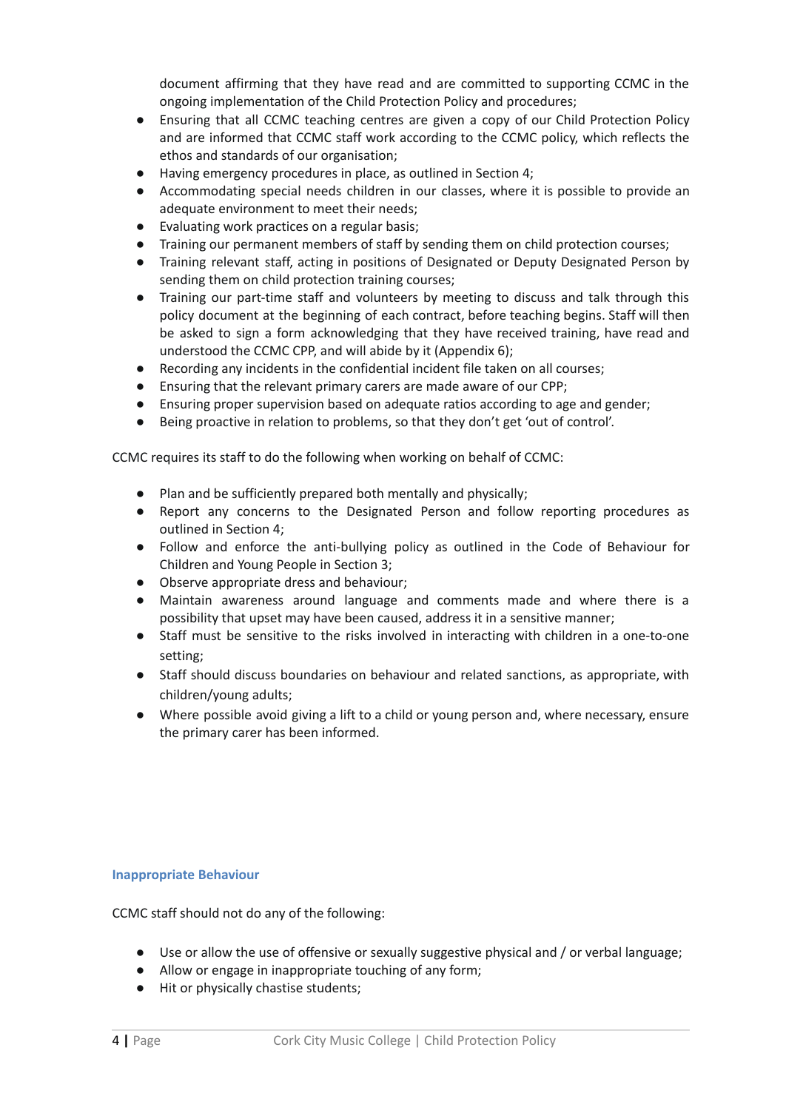document affirming that they have read and are committed to supporting CCMC in the ongoing implementation of the Child Protection Policy and procedures;

- Ensuring that all CCMC teaching centres are given a copy of our Child Protection Policy and are informed that CCMC staff work according to the CCMC policy, which reflects the ethos and standards of our organisation;
- Having emergency procedures in place, as outlined in Section 4;
- Accommodating special needs children in our classes, where it is possible to provide an adequate environment to meet their needs;
- Evaluating work practices on a regular basis;
- Training our permanent members of staff by sending them on child protection courses;
- Training relevant staff, acting in positions of Designated or Deputy Designated Person by sending them on child protection training courses;
- Training our part-time staff and volunteers by meeting to discuss and talk through this policy document at the beginning of each contract, before teaching begins. Staff will then be asked to sign a form acknowledging that they have received training, have read and understood the CCMC CPP, and will abide by it (Appendix 6);
- Recording any incidents in the confidential incident file taken on all courses;
- Ensuring that the relevant primary carers are made aware of our CPP;
- Ensuring proper supervision based on adequate ratios according to age and gender;
- Being proactive in relation to problems, so that they don't get 'out of control'.

CCMC requires its staff to do the following when working on behalf of CCMC:

- Plan and be sufficiently prepared both mentally and physically;
- Report any concerns to the Designated Person and follow reporting procedures as outlined in Section 4;
- Follow and enforce the anti-bullying policy as outlined in the Code of Behaviour for Children and Young People in Section 3;
- Observe appropriate dress and behaviour;
- Maintain awareness around language and comments made and where there is a possibility that upset may have been caused, address it in a sensitive manner;
- Staff must be sensitive to the risks involved in interacting with children in a one-to-one setting;
- Staff should discuss boundaries on behaviour and related sanctions, as appropriate, with children/young adults;
- Where possible avoid giving a lift to a child or young person and, where necessary, ensure the primary carer has been informed.

#### **Inappropriate Behaviour**

CCMC staff should not do any of the following:

- Use or allow the use of offensive or sexually suggestive physical and / or verbal language;
- Allow or engage in inappropriate touching of any form;
- Hit or physically chastise students;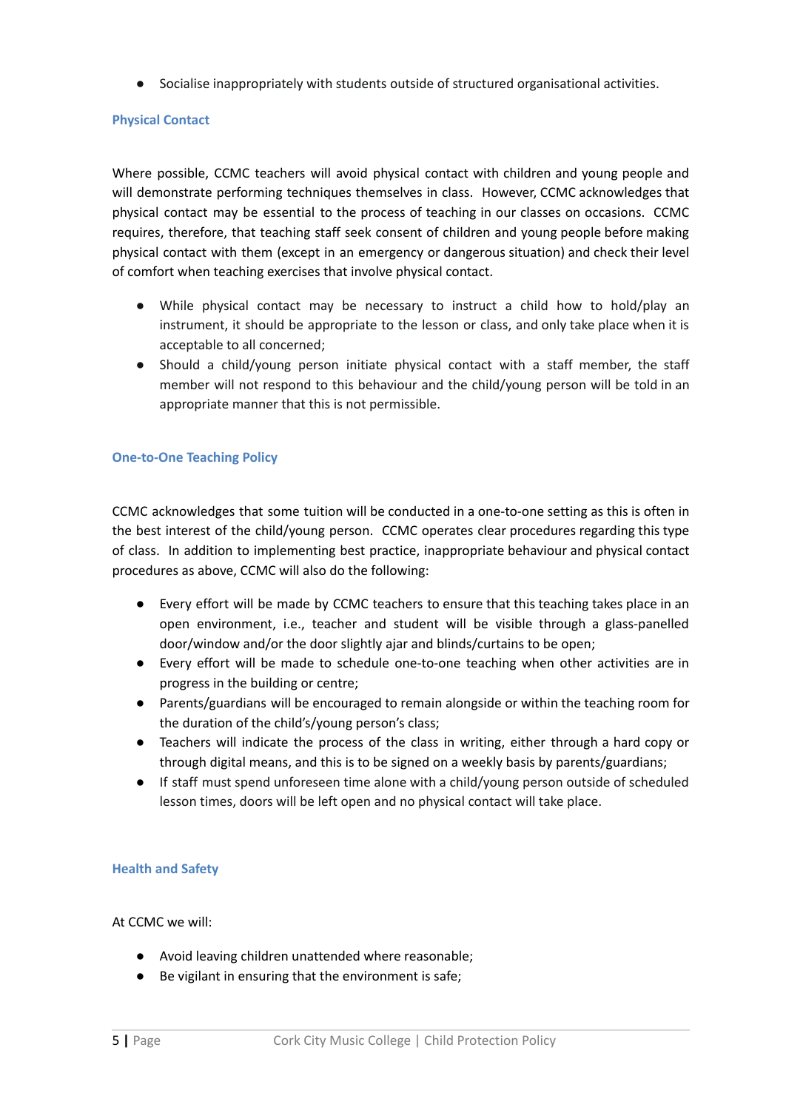● Socialise inappropriately with students outside of structured organisational activities.

#### **Physical Contact**

Where possible, CCMC teachers will avoid physical contact with children and young people and will demonstrate performing techniques themselves in class. However, CCMC acknowledges that physical contact may be essential to the process of teaching in our classes on occasions. CCMC requires, therefore, that teaching staff seek consent of children and young people before making physical contact with them (except in an emergency or dangerous situation) and check their level of comfort when teaching exercises that involve physical contact.

- While physical contact may be necessary to instruct a child how to hold/play an instrument, it should be appropriate to the lesson or class, and only take place when it is acceptable to all concerned;
- Should a child/young person initiate physical contact with a staff member, the staff member will not respond to this behaviour and the child/young person will be told in an appropriate manner that this is not permissible.

#### **One-to-One Teaching Policy**

CCMC acknowledges that some tuition will be conducted in a one-to-one setting as this is often in the best interest of the child/young person. CCMC operates clear procedures regarding this type of class. In addition to implementing best practice, inappropriate behaviour and physical contact procedures as above, CCMC will also do the following:

- Every effort will be made by CCMC teachers to ensure that this teaching takes place in an open environment, i.e., teacher and student will be visible through a glass-panelled door/window and/or the door slightly ajar and blinds/curtains to be open;
- Every effort will be made to schedule one-to-one teaching when other activities are in progress in the building or centre;
- Parents/guardians will be encouraged to remain alongside or within the teaching room for the duration of the child's/young person's class;
- Teachers will indicate the process of the class in writing, either through a hard copy or through digital means, and this is to be signed on a weekly basis by parents/guardians;
- If staff must spend unforeseen time alone with a child/young person outside of scheduled lesson times, doors will be left open and no physical contact will take place.

#### **Health and Safety**

At CCMC we will:

- Avoid leaving children unattended where reasonable;
- Be vigilant in ensuring that the environment is safe;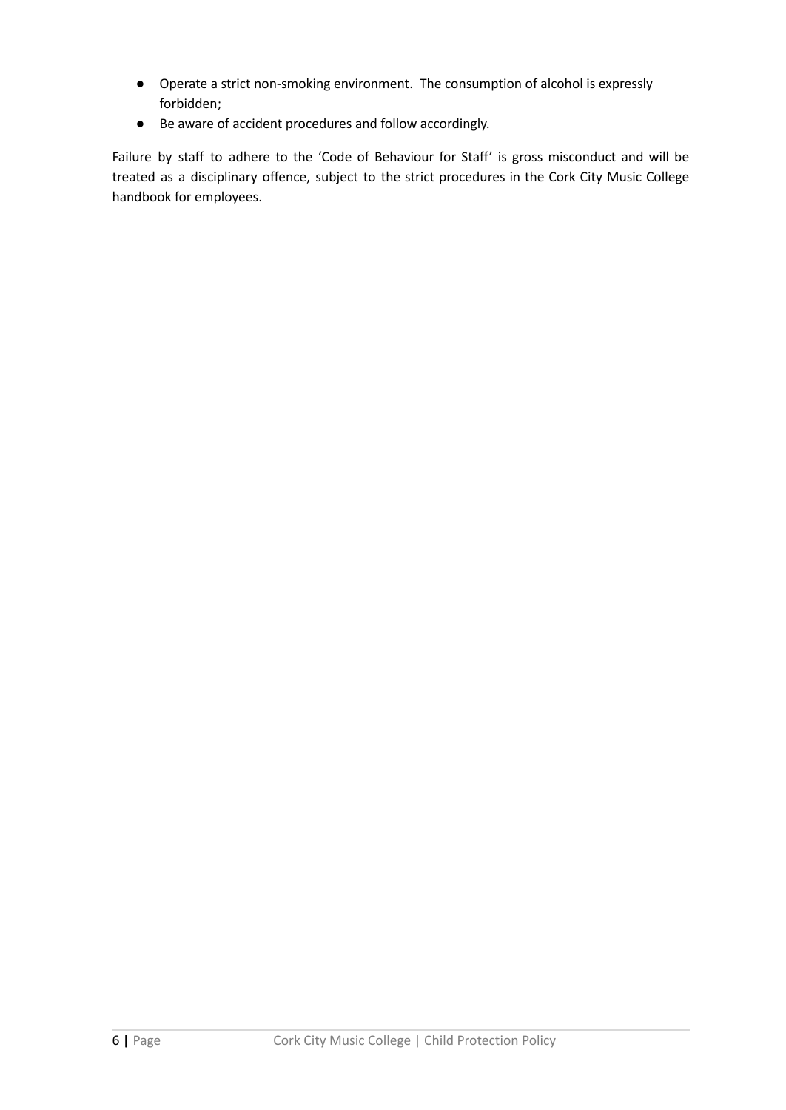- Operate a strict non-smoking environment. The consumption of alcohol is expressly forbidden;
- Be aware of accident procedures and follow accordingly.

Failure by staff to adhere to the 'Code of Behaviour for Staff' is gross misconduct and will be treated as a disciplinary offence, subject to the strict procedures in the Cork City Music College handbook for employees.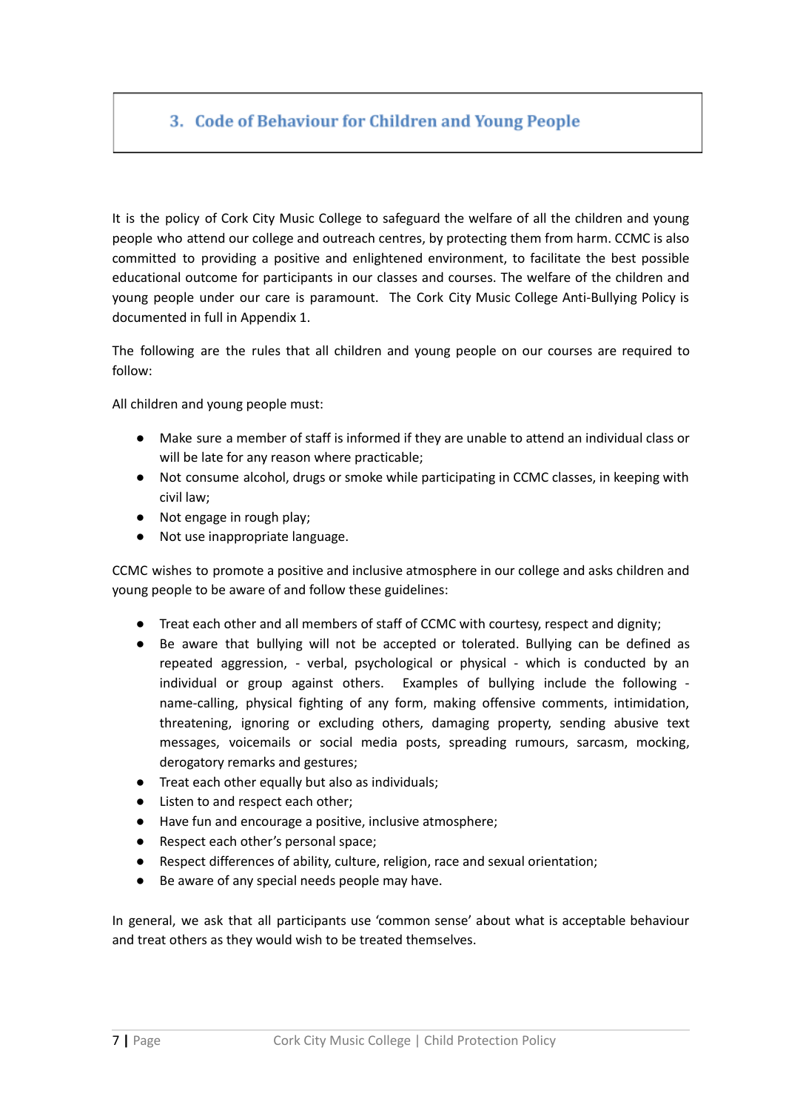## 3. Code of Behaviour for Children and Young People

It is the policy of Cork City Music College to safeguard the welfare of all the children and young people who attend our college and outreach centres, by protecting them from harm. CCMC is also committed to providing a positive and enlightened environment, to facilitate the best possible educational outcome for participants in our classes and courses. The welfare of the children and young people under our care is paramount. The Cork City Music College Anti-Bullying Policy is documented in full in Appendix 1.

The following are the rules that all children and young people on our courses are required to follow:

All children and young people must:

- Make sure a member of staff is informed if they are unable to attend an individual class or will be late for any reason where practicable;
- Not consume alcohol, drugs or smoke while participating in CCMC classes, in keeping with civil law;
- Not engage in rough play;
- Not use inappropriate language.

CCMC wishes to promote a positive and inclusive atmosphere in our college and asks children and young people to be aware of and follow these guidelines:

- Treat each other and all members of staff of CCMC with courtesy, respect and dignity;
- Be aware that bullying will not be accepted or tolerated. Bullying can be defined as repeated aggression, - verbal, psychological or physical - which is conducted by an individual or group against others. Examples of bullying include the following name-calling, physical fighting of any form, making offensive comments, intimidation, threatening, ignoring or excluding others, damaging property, sending abusive text messages, voicemails or social media posts, spreading rumours, sarcasm, mocking, derogatory remarks and gestures;
- Treat each other equally but also as individuals;
- Listen to and respect each other;
- Have fun and encourage a positive, inclusive atmosphere;
- Respect each other's personal space;
- Respect differences of ability, culture, religion, race and sexual orientation;
- Be aware of any special needs people may have.

In general, we ask that all participants use 'common sense' about what is acceptable behaviour and treat others as they would wish to be treated themselves.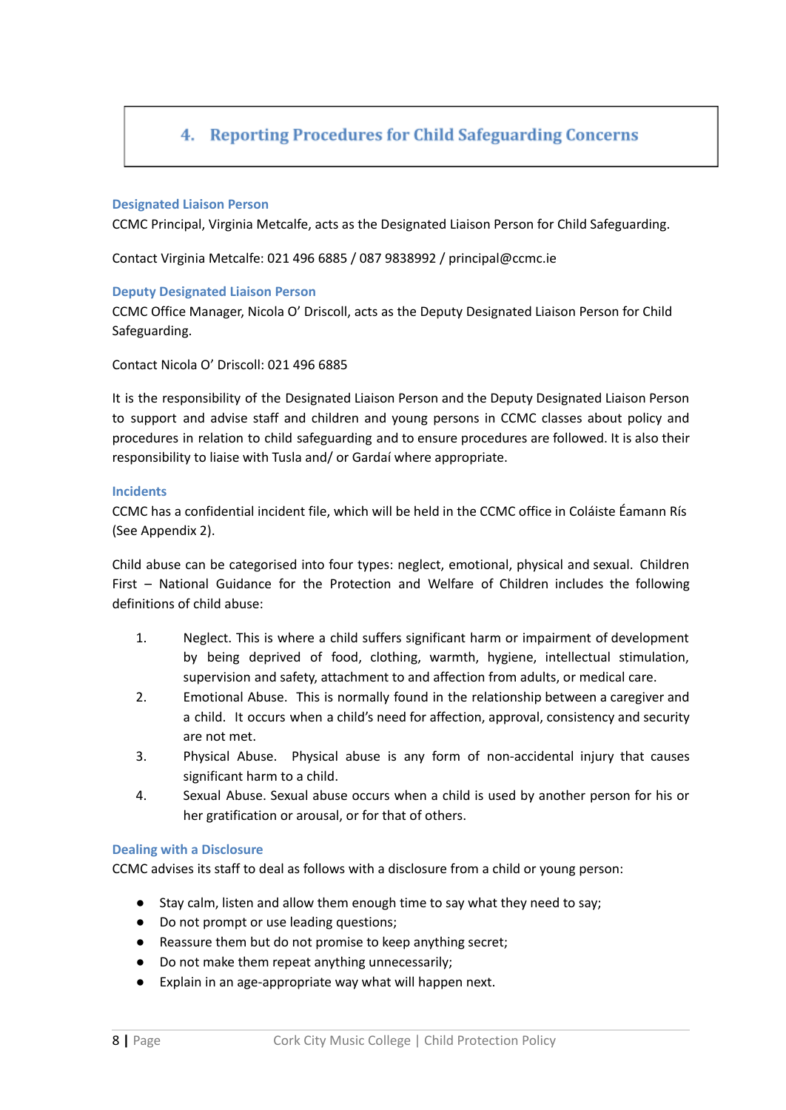## 4. Reporting Procedures for Child Safeguarding Concerns

#### **Designated Liaison Person**

CCMC Principal, Virginia Metcalfe, acts as the Designated Liaison Person for Child Safeguarding.

Contact Virginia Metcalfe: 021 496 6885 / 087 9838992 / principal@ccmc.ie

#### **Deputy Designated Liaison Person**

CCMC Office Manager, Nicola O' Driscoll, acts as the Deputy Designated Liaison Person for Child Safeguarding.

Contact Nicola O' Driscoll: 021 496 6885

It is the responsibility of the Designated Liaison Person and the Deputy Designated Liaison Person to support and advise staff and children and young persons in CCMC classes about policy and procedures in relation to child safeguarding and to ensure procedures are followed. It is also their responsibility to liaise with Tusla and/ or Gardaí where appropriate.

#### **Incidents**

CCMC has a confidential incident file, which will be held in the CCMC office in Coláiste Éamann Rís (See Appendix 2).

Child abuse can be categorised into four types: neglect, emotional, physical and sexual. Children First – National Guidance for the Protection and Welfare of Children includes the following definitions of child abuse:

- 1. Neglect. This is where a child suffers significant harm or impairment of development by being deprived of food, clothing, warmth, hygiene, intellectual stimulation, supervision and safety, attachment to and affection from adults, or medical care.
- 2. Emotional Abuse. This is normally found in the relationship between a caregiver and a child. It occurs when a child's need for affection, approval, consistency and security are not met.
- 3. Physical Abuse. Physical abuse is any form of non-accidental injury that causes significant harm to a child.
- 4. Sexual Abuse. Sexual abuse occurs when a child is used by another person for his or her gratification or arousal, or for that of others.

#### **Dealing with a Disclosure**

CCMC advises its staff to deal as follows with a disclosure from a child or young person:

- Stay calm, listen and allow them enough time to say what they need to say;
- Do not prompt or use leading questions;
- Reassure them but do not promise to keep anything secret;
- Do not make them repeat anything unnecessarily;
- Explain in an age-appropriate way what will happen next.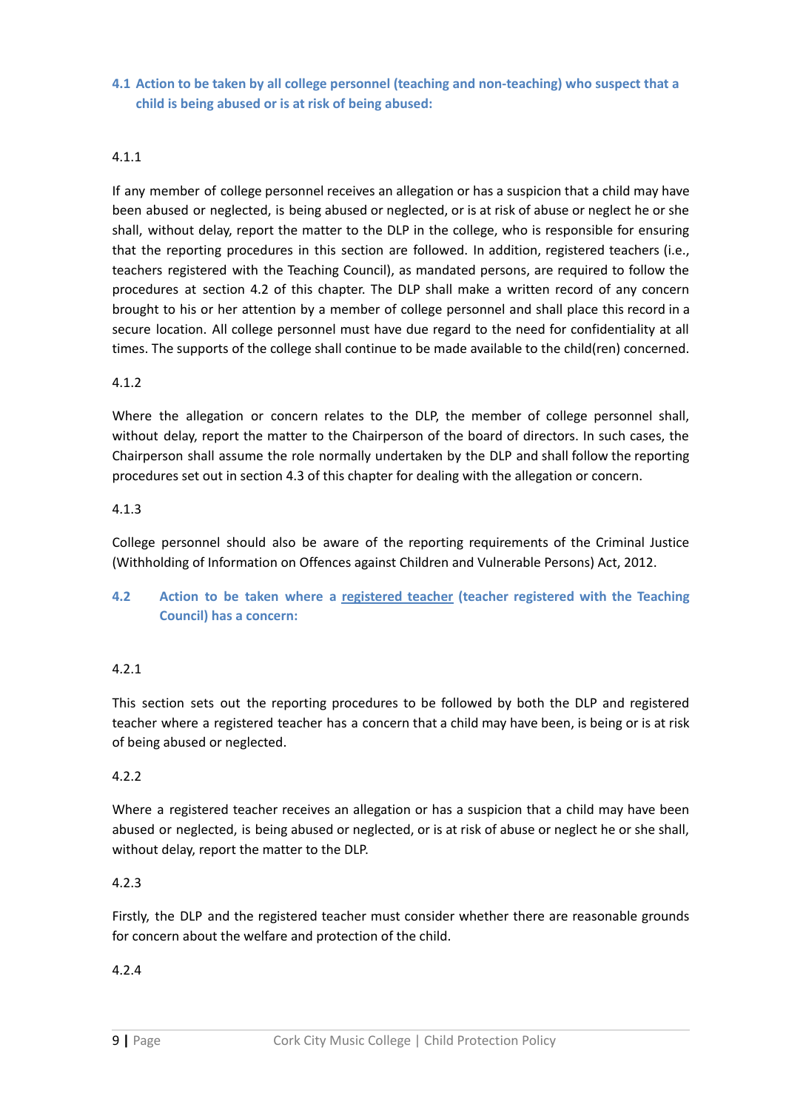**4.1 Action to be taken by all college personnel (teaching and non-teaching) who suspect that a child is being abused or is at risk of being abused:**

#### 4.1.1

If any member of college personnel receives an allegation or has a suspicion that a child may have been abused or neglected, is being abused or neglected, or is at risk of abuse or neglect he or she shall, without delay, report the matter to the DLP in the college, who is responsible for ensuring that the reporting procedures in this section are followed. In addition, registered teachers (i.e., teachers registered with the Teaching Council), as mandated persons, are required to follow the procedures at section 4.2 of this chapter. The DLP shall make a written record of any concern brought to his or her attention by a member of college personnel and shall place this record in a secure location. All college personnel must have due regard to the need for confidentiality at all times. The supports of the college shall continue to be made available to the child(ren) concerned.

#### 4.1.2

Where the allegation or concern relates to the DLP, the member of college personnel shall, without delay, report the matter to the Chairperson of the board of directors. In such cases, the Chairperson shall assume the role normally undertaken by the DLP and shall follow the reporting procedures set out in section 4.3 of this chapter for dealing with the allegation or concern.

#### 4.1.3

College personnel should also be aware of the reporting requirements of the Criminal Justice (Withholding of Information on Offences against Children and Vulnerable Persons) Act, 2012.

## **4.2 Action to be taken where a registered teacher (teacher registered with the Teaching Council) has a concern:**

#### 4.2.1

This section sets out the reporting procedures to be followed by both the DLP and registered teacher where a registered teacher has a concern that a child may have been, is being or is at risk of being abused or neglected.

#### 4.2.2

Where a registered teacher receives an allegation or has a suspicion that a child may have been abused or neglected, is being abused or neglected, or is at risk of abuse or neglect he or she shall, without delay, report the matter to the DLP.

#### 4.2.3

Firstly, the DLP and the registered teacher must consider whether there are reasonable grounds for concern about the welfare and protection of the child.

#### 4.2.4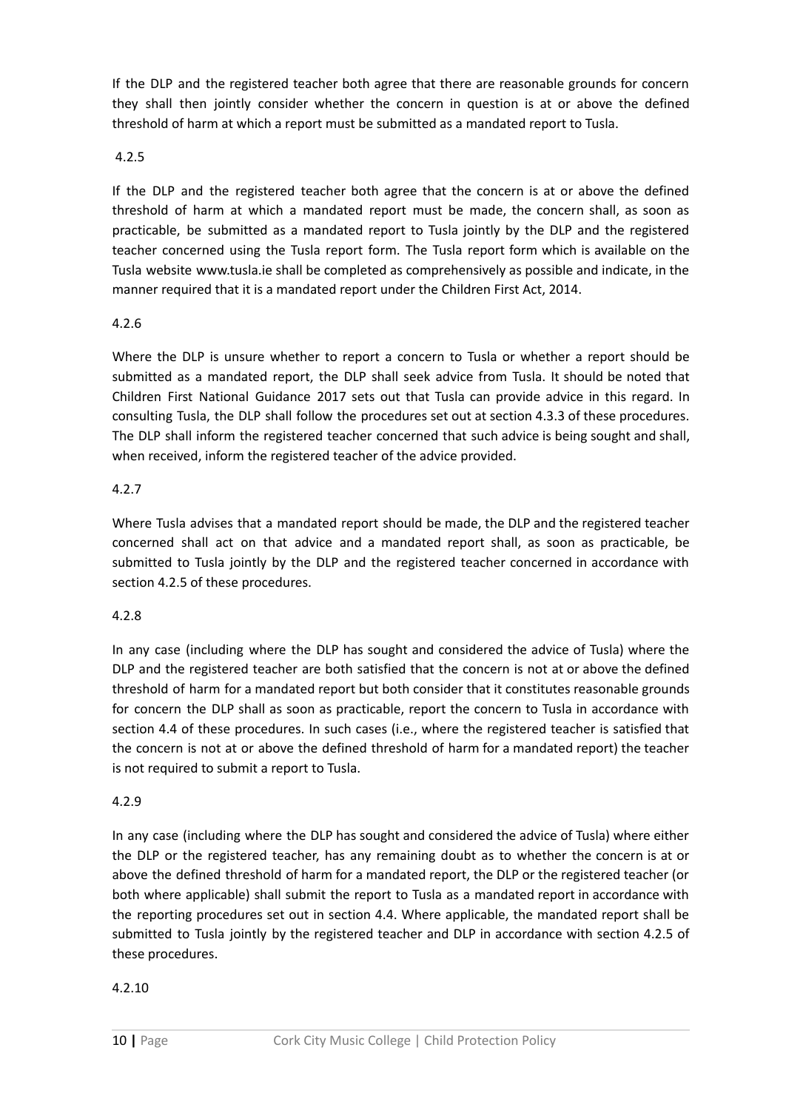If the DLP and the registered teacher both agree that there are reasonable grounds for concern they shall then jointly consider whether the concern in question is at or above the defined threshold of harm at which a report must be submitted as a mandated report to Tusla.

#### 4.2.5

If the DLP and the registered teacher both agree that the concern is at or above the defined threshold of harm at which a mandated report must be made, the concern shall, as soon as practicable, be submitted as a mandated report to Tusla jointly by the DLP and the registered teacher concerned using the Tusla report form. The Tusla report form which is available on the Tusla website www.tusla.ie shall be completed as comprehensively as possible and indicate, in the manner required that it is a mandated report under the Children First Act, 2014.

### 4.2.6

Where the DLP is unsure whether to report a concern to Tusla or whether a report should be submitted as a mandated report, the DLP shall seek advice from Tusla. It should be noted that Children First National Guidance 2017 sets out that Tusla can provide advice in this regard. In consulting Tusla, the DLP shall follow the procedures set out at section 4.3.3 of these procedures. The DLP shall inform the registered teacher concerned that such advice is being sought and shall, when received, inform the registered teacher of the advice provided.

### 4.2.7

Where Tusla advises that a mandated report should be made, the DLP and the registered teacher concerned shall act on that advice and a mandated report shall, as soon as practicable, be submitted to Tusla jointly by the DLP and the registered teacher concerned in accordance with section 4.2.5 of these procedures.

## 4.2.8

In any case (including where the DLP has sought and considered the advice of Tusla) where the DLP and the registered teacher are both satisfied that the concern is not at or above the defined threshold of harm for a mandated report but both consider that it constitutes reasonable grounds for concern the DLP shall as soon as practicable, report the concern to Tusla in accordance with section 4.4 of these procedures. In such cases (i.e., where the registered teacher is satisfied that the concern is not at or above the defined threshold of harm for a mandated report) the teacher is not required to submit a report to Tusla.

#### 4.2.9

In any case (including where the DLP has sought and considered the advice of Tusla) where either the DLP or the registered teacher, has any remaining doubt as to whether the concern is at or above the defined threshold of harm for a mandated report, the DLP or the registered teacher (or both where applicable) shall submit the report to Tusla as a mandated report in accordance with the reporting procedures set out in section 4.4. Where applicable, the mandated report shall be submitted to Tusla jointly by the registered teacher and DLP in accordance with section 4.2.5 of these procedures.

## 4.2.10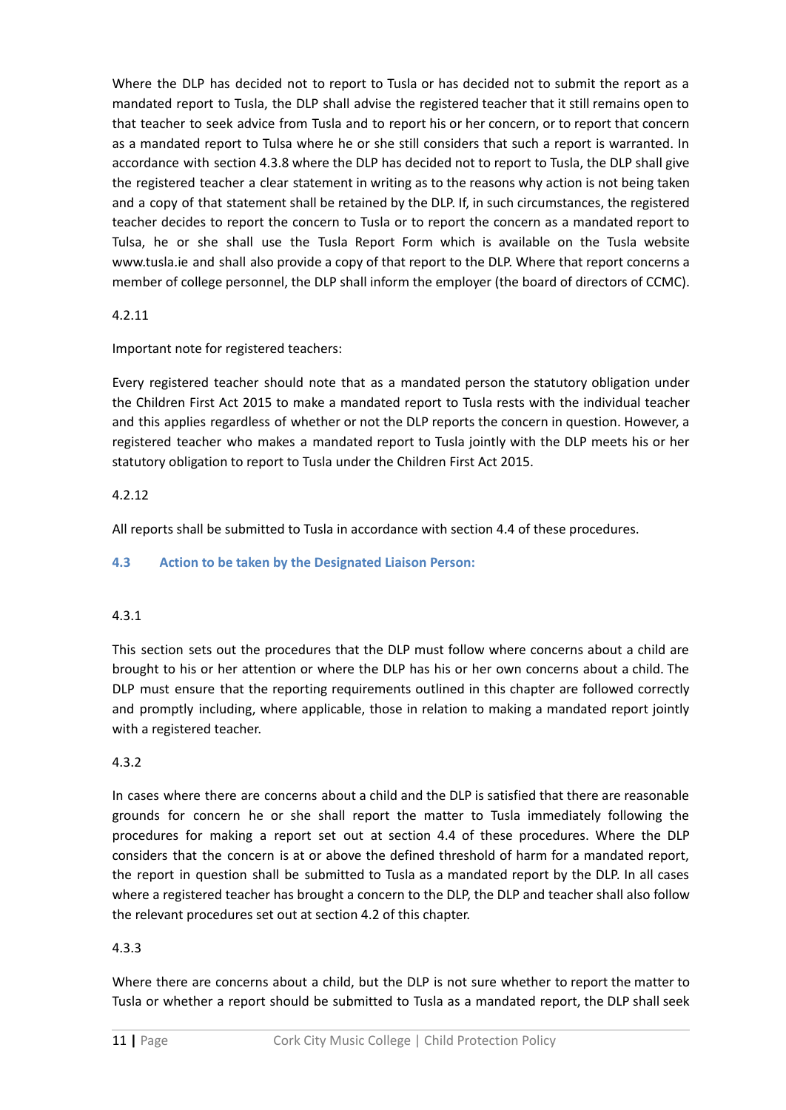Where the DLP has decided not to report to Tusla or has decided not to submit the report as a mandated report to Tusla, the DLP shall advise the registered teacher that it still remains open to that teacher to seek advice from Tusla and to report his or her concern, or to report that concern as a mandated report to Tulsa where he or she still considers that such a report is warranted. In accordance with section 4.3.8 where the DLP has decided not to report to Tusla, the DLP shall give the registered teacher a clear statement in writing as to the reasons why action is not being taken and a copy of that statement shall be retained by the DLP. If, in such circumstances, the registered teacher decides to report the concern to Tusla or to report the concern as a mandated report to Tulsa, he or she shall use the Tusla Report Form which is available on the Tusla website www.tusla.ie and shall also provide a copy of that report to the DLP. Where that report concerns a member of college personnel, the DLP shall inform the employer (the board of directors of CCMC).

## 4.2.11

Important note for registered teachers:

Every registered teacher should note that as a mandated person the statutory obligation under the Children First Act 2015 to make a mandated report to Tusla rests with the individual teacher and this applies regardless of whether or not the DLP reports the concern in question. However, a registered teacher who makes a mandated report to Tusla jointly with the DLP meets his or her statutory obligation to report to Tusla under the Children First Act 2015.

## 4.2.12

All reports shall be submitted to Tusla in accordance with section 4.4 of these procedures.

## **4.3 Action to be taken by the Designated Liaison Person:**

## 4.3.1

This section sets out the procedures that the DLP must follow where concerns about a child are brought to his or her attention or where the DLP has his or her own concerns about a child. The DLP must ensure that the reporting requirements outlined in this chapter are followed correctly and promptly including, where applicable, those in relation to making a mandated report jointly with a registered teacher.

## 4.3.2

In cases where there are concerns about a child and the DLP is satisfied that there are reasonable grounds for concern he or she shall report the matter to Tusla immediately following the procedures for making a report set out at section 4.4 of these procedures. Where the DLP considers that the concern is at or above the defined threshold of harm for a mandated report, the report in question shall be submitted to Tusla as a mandated report by the DLP. In all cases where a registered teacher has brought a concern to the DLP, the DLP and teacher shall also follow the relevant procedures set out at section 4.2 of this chapter.

## 4.3.3

Where there are concerns about a child, but the DLP is not sure whether to report the matter to Tusla or whether a report should be submitted to Tusla as a mandated report, the DLP shall seek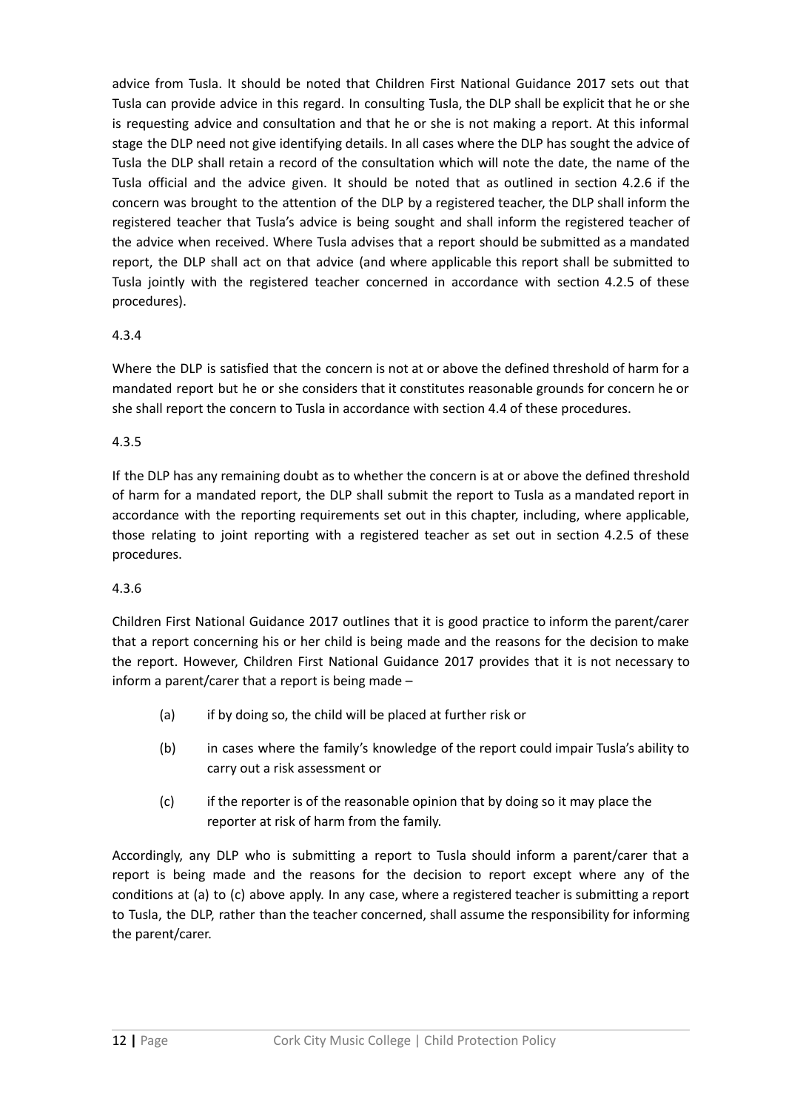advice from Tusla. It should be noted that Children First National Guidance 2017 sets out that Tusla can provide advice in this regard. In consulting Tusla, the DLP shall be explicit that he or she is requesting advice and consultation and that he or she is not making a report. At this informal stage the DLP need not give identifying details. In all cases where the DLP has sought the advice of Tusla the DLP shall retain a record of the consultation which will note the date, the name of the Tusla official and the advice given. It should be noted that as outlined in section 4.2.6 if the concern was brought to the attention of the DLP by a registered teacher, the DLP shall inform the registered teacher that Tusla's advice is being sought and shall inform the registered teacher of the advice when received. Where Tusla advises that a report should be submitted as a mandated report, the DLP shall act on that advice (and where applicable this report shall be submitted to Tusla jointly with the registered teacher concerned in accordance with section 4.2.5 of these procedures).

## 4.3.4

Where the DLP is satisfied that the concern is not at or above the defined threshold of harm for a mandated report but he or she considers that it constitutes reasonable grounds for concern he or she shall report the concern to Tusla in accordance with section 4.4 of these procedures.

## 4.3.5

If the DLP has any remaining doubt as to whether the concern is at or above the defined threshold of harm for a mandated report, the DLP shall submit the report to Tusla as a mandated report in accordance with the reporting requirements set out in this chapter, including, where applicable, those relating to joint reporting with a registered teacher as set out in section 4.2.5 of these procedures.

## 4.3.6

Children First National Guidance 2017 outlines that it is good practice to inform the parent/carer that a report concerning his or her child is being made and the reasons for the decision to make the report. However, Children First National Guidance 2017 provides that it is not necessary to inform a parent/carer that a report is being made –

- (a) if by doing so, the child will be placed at further risk or
- (b) in cases where the family's knowledge of the report could impair Tusla's ability to carry out a risk assessment or
- (c) if the reporter is of the reasonable opinion that by doing so it may place the reporter at risk of harm from the family.

Accordingly, any DLP who is submitting a report to Tusla should inform a parent/carer that a report is being made and the reasons for the decision to report except where any of the conditions at (a) to (c) above apply. In any case, where a registered teacher is submitting a report to Tusla, the DLP, rather than the teacher concerned, shall assume the responsibility for informing the parent/carer.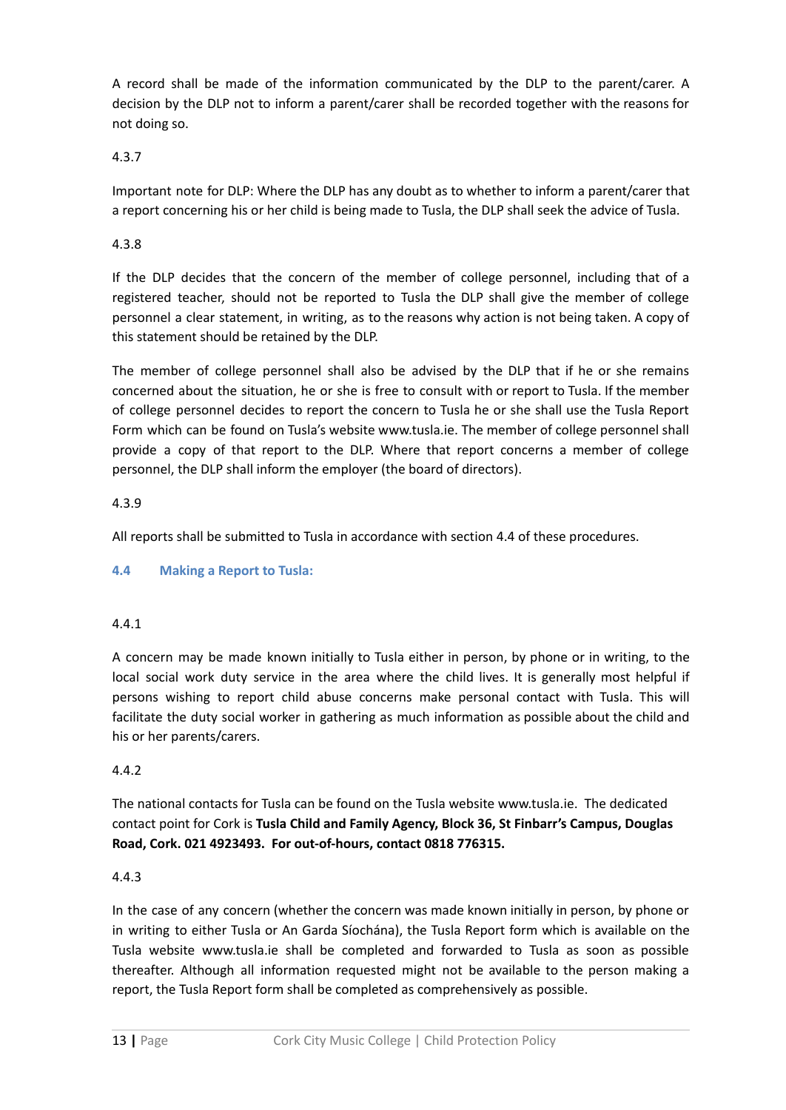A record shall be made of the information communicated by the DLP to the parent/carer. A decision by the DLP not to inform a parent/carer shall be recorded together with the reasons for not doing so.

### 4.3.7

Important note for DLP: Where the DLP has any doubt as to whether to inform a parent/carer that a report concerning his or her child is being made to Tusla, the DLP shall seek the advice of Tusla.

### 4.3.8

If the DLP decides that the concern of the member of college personnel, including that of a registered teacher, should not be reported to Tusla the DLP shall give the member of college personnel a clear statement, in writing, as to the reasons why action is not being taken. A copy of this statement should be retained by the DLP.

The member of college personnel shall also be advised by the DLP that if he or she remains concerned about the situation, he or she is free to consult with or report to Tusla. If the member of college personnel decides to report the concern to Tusla he or she shall use the Tusla Report Form which can be found on Tusla's website www.tusla.ie. The member of college personnel shall provide a copy of that report to the DLP. Where that report concerns a member of college personnel, the DLP shall inform the employer (the board of directors).

#### 4.3.9

All reports shall be submitted to Tusla in accordance with section 4.4 of these procedures.

#### **4.4 Making a Report to Tusla:**

#### 4.4.1

A concern may be made known initially to Tusla either in person, by phone or in writing, to the local social work duty service in the area where the child lives. It is generally most helpful if persons wishing to report child abuse concerns make personal contact with Tusla. This will facilitate the duty social worker in gathering as much information as possible about the child and his or her parents/carers.

#### 4.4.2

The national contacts for Tusla can be found on the Tusla website www.tusla.ie. The dedicated contact point for Cork is **Tusla Child and Family Agency, Block 36, St Finbarr's Campus, Douglas Road, Cork. 021 4923493. For out-of-hours, contact 0818 776315.**

#### 4.4.3

In the case of any concern (whether the concern was made known initially in person, by phone or in writing to either Tusla or An Garda Síochána), the Tusla Report form which is available on the Tusla website www.tusla.ie shall be completed and forwarded to Tusla as soon as possible thereafter. Although all information requested might not be available to the person making a report, the Tusla Report form shall be completed as comprehensively as possible.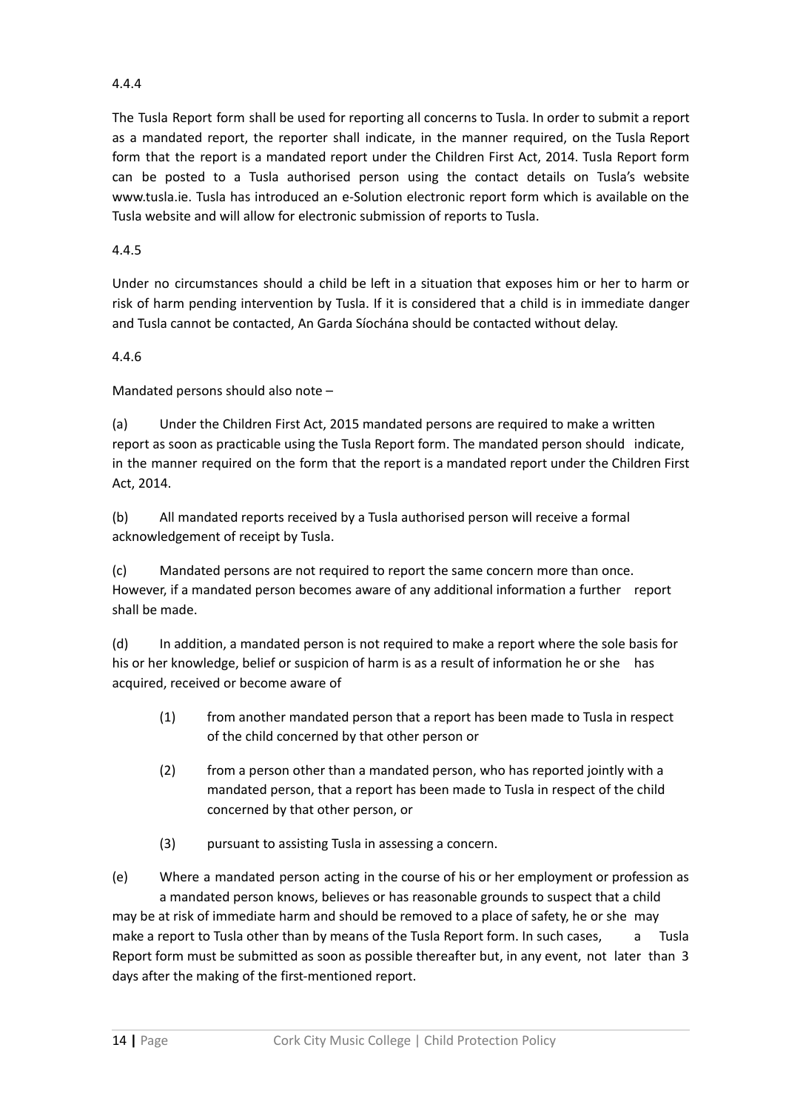## 4.4.4

The Tusla Report form shall be used for reporting all concerns to Tusla. In order to submit a report as a mandated report, the reporter shall indicate, in the manner required, on the Tusla Report form that the report is a mandated report under the Children First Act, 2014. Tusla Report form can be posted to a Tusla authorised person using the contact details on Tusla's website www.tusla.ie. Tusla has introduced an e-Solution electronic report form which is available on the Tusla website and will allow for electronic submission of reports to Tusla.

## 4.4.5

Under no circumstances should a child be left in a situation that exposes him or her to harm or risk of harm pending intervention by Tusla. If it is considered that a child is in immediate danger and Tusla cannot be contacted, An Garda Síochána should be contacted without delay.

## 4.4.6

Mandated persons should also note –

(a) Under the Children First Act, 2015 mandated persons are required to make a written report as soon as practicable using the Tusla Report form. The mandated person should indicate, in the manner required on the form that the report is a mandated report under the Children First Act, 2014.

(b) All mandated reports received by a Tusla authorised person will receive a formal acknowledgement of receipt by Tusla.

(c) Mandated persons are not required to report the same concern more than once. However, if a mandated person becomes aware of any additional information a further report shall be made.

(d) In addition, a mandated person is not required to make a report where the sole basis for his or her knowledge, belief or suspicion of harm is as a result of information he or she has acquired, received or become aware of

- (1) from another mandated person that a report has been made to Tusla in respect of the child concerned by that other person or
- (2) from a person other than a mandated person, who has reported jointly with a mandated person, that a report has been made to Tusla in respect of the child concerned by that other person, or
- (3) pursuant to assisting Tusla in assessing a concern.

(e) Where a mandated person acting in the course of his or her employment or profession as a mandated person knows, believes or has reasonable grounds to suspect that a child may be at risk of immediate harm and should be removed to a place of safety, he or she may make a report to Tusla other than by means of the Tusla Report form. In such cases, a Tusla Report form must be submitted as soon as possible thereafter but, in any event, not later than 3 days after the making of the first-mentioned report.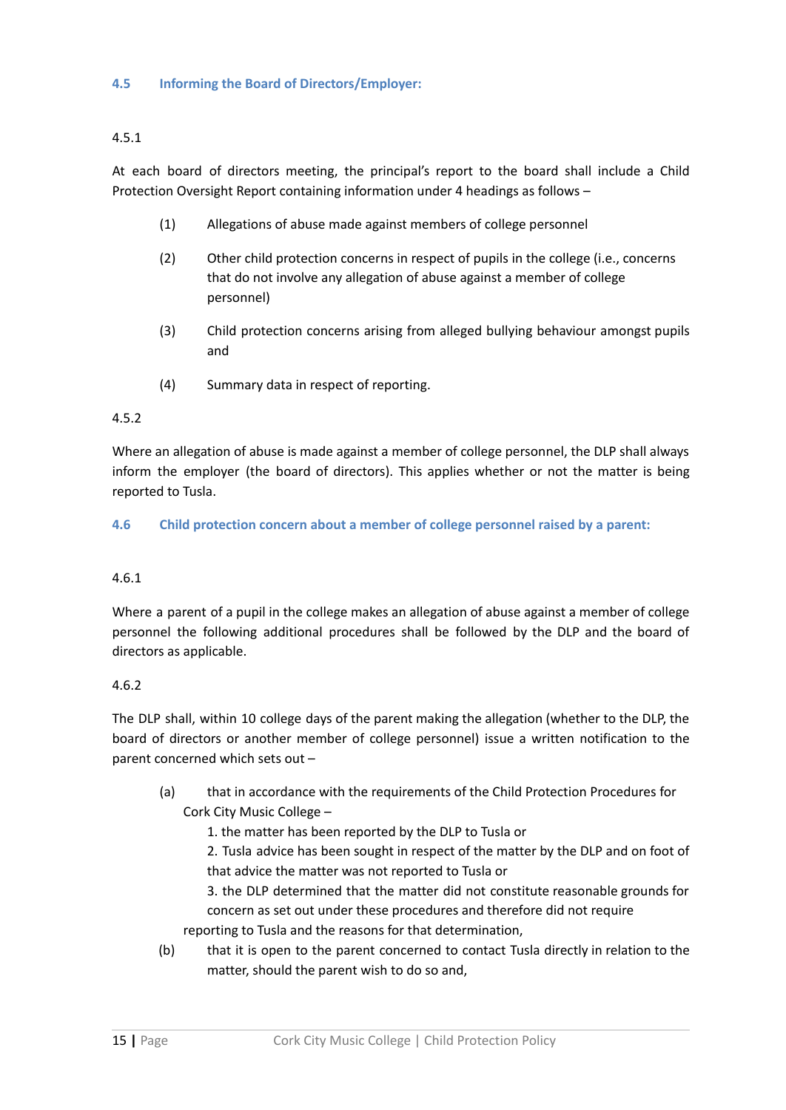## 4.5.1

At each board of directors meeting, the principal's report to the board shall include a Child Protection Oversight Report containing information under 4 headings as follows –

- (1) Allegations of abuse made against members of college personnel
- (2) Other child protection concerns in respect of pupils in the college (i.e., concerns that do not involve any allegation of abuse against a member of college personnel)
- (3) Child protection concerns arising from alleged bullying behaviour amongst pupils and
- (4) Summary data in respect of reporting.

## 4.5.2

Where an allegation of abuse is made against a member of college personnel, the DLP shall always inform the employer (the board of directors). This applies whether or not the matter is being reported to Tusla.

**4.6 Child protection concern about a member of college personnel raised by a parent:**

## 4.6.1

Where a parent of a pupil in the college makes an allegation of abuse against a member of college personnel the following additional procedures shall be followed by the DLP and the board of directors as applicable.

#### 4.6.2

The DLP shall, within 10 college days of the parent making the allegation (whether to the DLP, the board of directors or another member of college personnel) issue a written notification to the parent concerned which sets out –

(a) that in accordance with the requirements of the Child Protection Procedures for Cork City Music College –

1. the matter has been reported by the DLP to Tusla or

2. Tusla advice has been sought in respect of the matter by the DLP and on foot of that advice the matter was not reported to Tusla or

3. the DLP determined that the matter did not constitute reasonable grounds for concern as set out under these procedures and therefore did not require reporting to Tusla and the reasons for that determination,

(b) that it is open to the parent concerned to contact Tusla directly in relation to the matter, should the parent wish to do so and,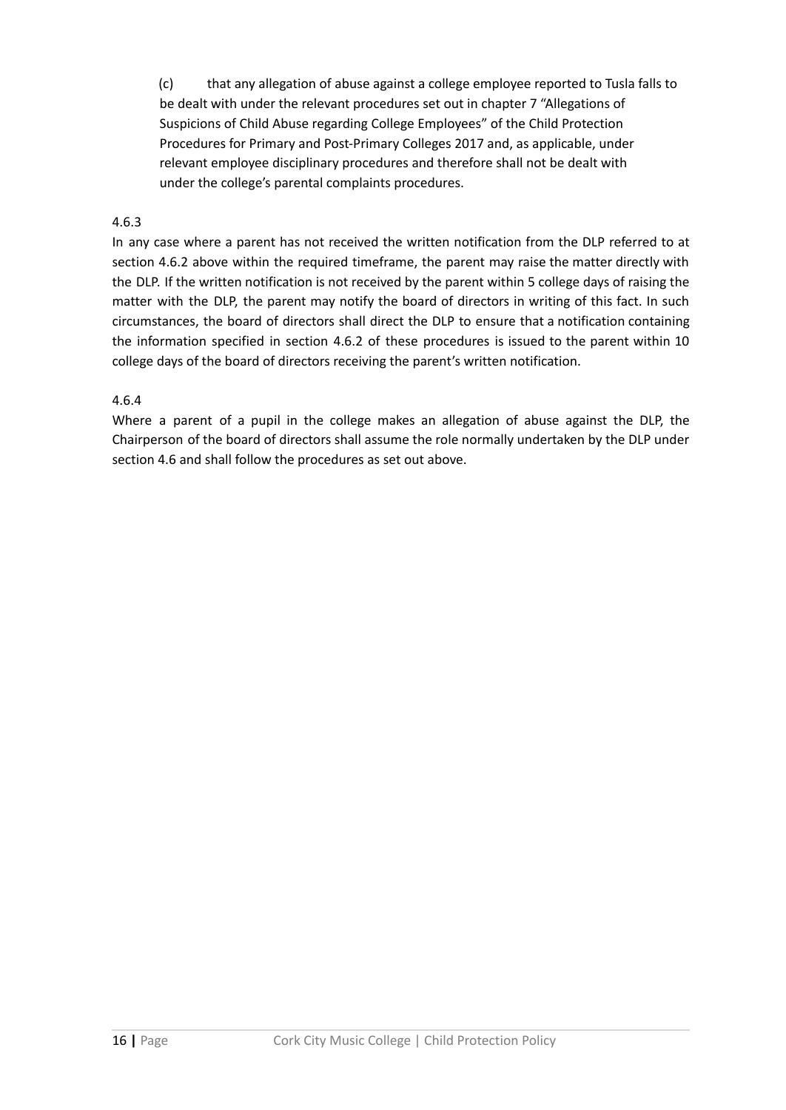(c) that any allegation of abuse against a college employee reported to Tusla falls to be dealt with under the relevant procedures set out in chapter 7 "Allegations of Suspicions of Child Abuse regarding College Employees" of the Child Protection Procedures for Primary and Post-Primary Colleges 2017 and, as applicable, under relevant employee disciplinary procedures and therefore shall not be dealt with under the college's parental complaints procedures.

## 4.6.3

In any case where a parent has not received the written notification from the DLP referred to at section 4.6.2 above within the required timeframe, the parent may raise the matter directly with the DLP. If the written notification is not received by the parent within 5 college days of raising the matter with the DLP, the parent may notify the board of directors in writing of this fact. In such circumstances, the board of directors shall direct the DLP to ensure that a notification containing the information specified in section 4.6.2 of these procedures is issued to the parent within 10 college days of the board of directors receiving the parent's written notification.

#### 4.6.4

Where a parent of a pupil in the college makes an allegation of abuse against the DLP, the Chairperson of the board of directors shall assume the role normally undertaken by the DLP under section 4.6 and shall follow the procedures as set out above.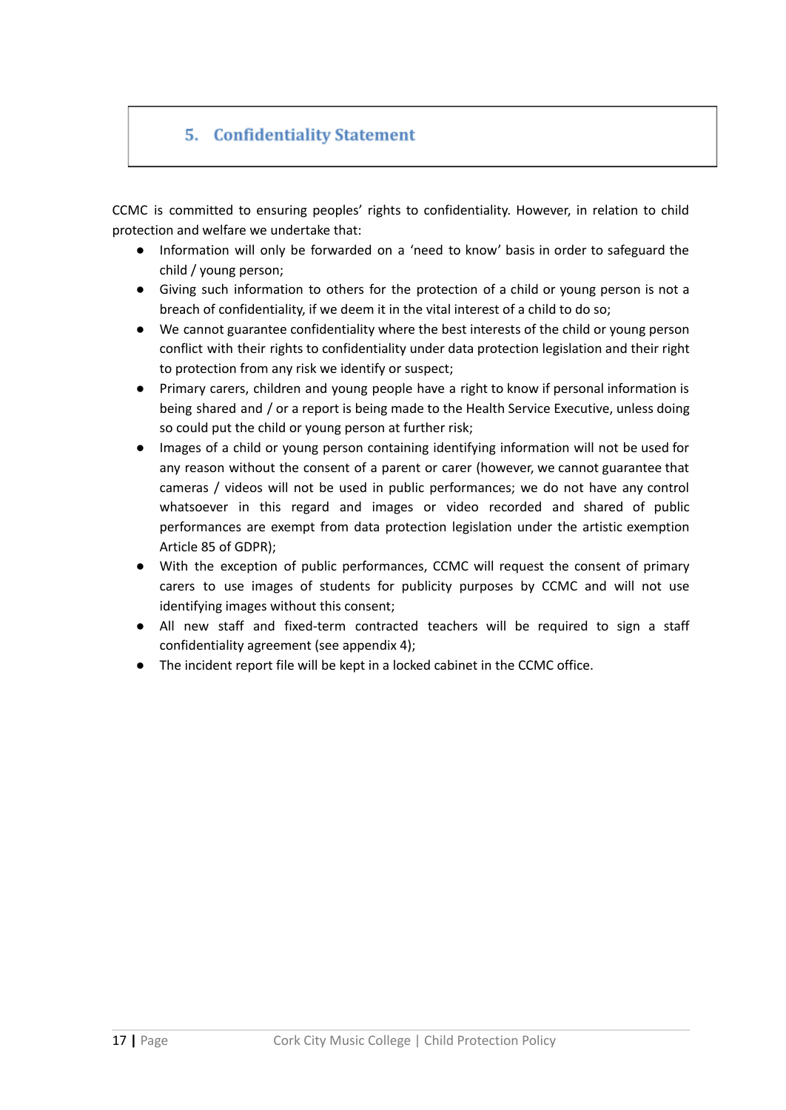## 5. Confidentiality Statement

CCMC is committed to ensuring peoples' rights to confidentiality. However, in relation to child protection and welfare we undertake that:

- Information will only be forwarded on a 'need to know' basis in order to safeguard the child / young person;
- Giving such information to others for the protection of a child or young person is not a breach of confidentiality, if we deem it in the vital interest of a child to do so;
- We cannot guarantee confidentiality where the best interests of the child or young person conflict with their rights to confidentiality under data protection legislation and their right to protection from any risk we identify or suspect;
- Primary carers, children and young people have a right to know if personal information is being shared and / or a report is being made to the Health Service Executive, unless doing so could put the child or young person at further risk;
- Images of a child or young person containing identifying information will not be used for any reason without the consent of a parent or carer (however, we cannot guarantee that cameras / videos will not be used in public performances; we do not have any control whatsoever in this regard and images or video recorded and shared of public performances are exempt from data protection legislation under the artistic exemption Article 85 of GDPR);
- With the exception of public performances, CCMC will request the consent of primary carers to use images of students for publicity purposes by CCMC and will not use identifying images without this consent;
- All new staff and fixed-term contracted teachers will be required to sign a staff confidentiality agreement (see appendix 4);
- The incident report file will be kept in a locked cabinet in the CCMC office.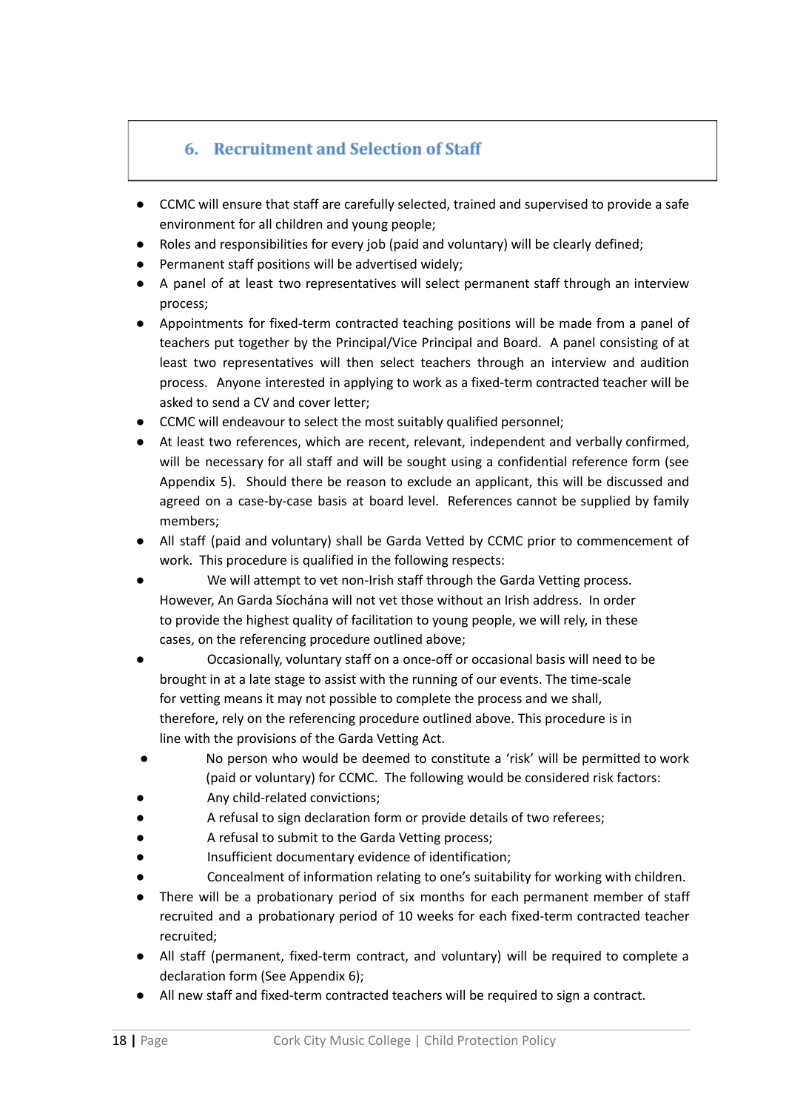## 6. Recruitment and Selection of Staff

- CCMC will ensure that staff are carefully selected, trained and supervised to provide a safe environment for all children and young people;
- Roles and responsibilities for every job (paid and voluntary) will be clearly defined;
- Permanent staff positions will be advertised widely;
- A panel of at least two representatives will select permanent staff through an interview process;
- Appointments for fixed-term contracted teaching positions will be made from a panel of teachers put together by the Principal/Vice Principal and Board. A panel consisting of at least two representatives will then select teachers through an interview and audition process. Anyone interested in applying to work as a fixed-term contracted teacher will be asked to send a CV and cover letter;
- CCMC will endeavour to select the most suitably qualified personnel;
- At least two references, which are recent, relevant, independent and verbally confirmed, will be necessary for all staff and will be sought using a confidential reference form (see Appendix 5). Should there be reason to exclude an applicant, this will be discussed and agreed on a case-by-case basis at board level. References cannot be supplied by family members;
- All staff (paid and voluntary) shall be Garda Vetted by CCMC prior to commencement of work. This procedure is qualified in the following respects:
- We will attempt to vet non-Irish staff through the Garda Vetting process. However, An Garda Síochána will not vet those without an Irish address. In order to provide the highest quality of facilitation to young people, we will rely, in these cases, on the referencing procedure outlined above;
- Occasionally, voluntary staff on a once-off or occasional basis will need to be brought in at a late stage to assist with the running of our events. The time-scale for vetting means it may not possible to complete the process and we shall, therefore, rely on the referencing procedure outlined above. This procedure is in line with the provisions of the Garda Vetting Act.
- No person who would be deemed to constitute a 'risk' will be permitted to work (paid or voluntary) for CCMC. The following would be considered risk factors:
- Any child-related convictions;
- A refusal to sign declaration form or provide details of two referees;
- A refusal to submit to the Garda Vetting process;
- Insufficient documentary evidence of identification;
- Concealment of information relating to one's suitability for working with children.
- There will be a probationary period of six months for each permanent member of staff recruited and a probationary period of 10 weeks for each fixed-term contracted teacher recruited;
- All staff (permanent, fixed-term contract, and voluntary) will be required to complete a declaration form (See Appendix 6);
- All new staff and fixed-term contracted teachers will be required to sign a contract.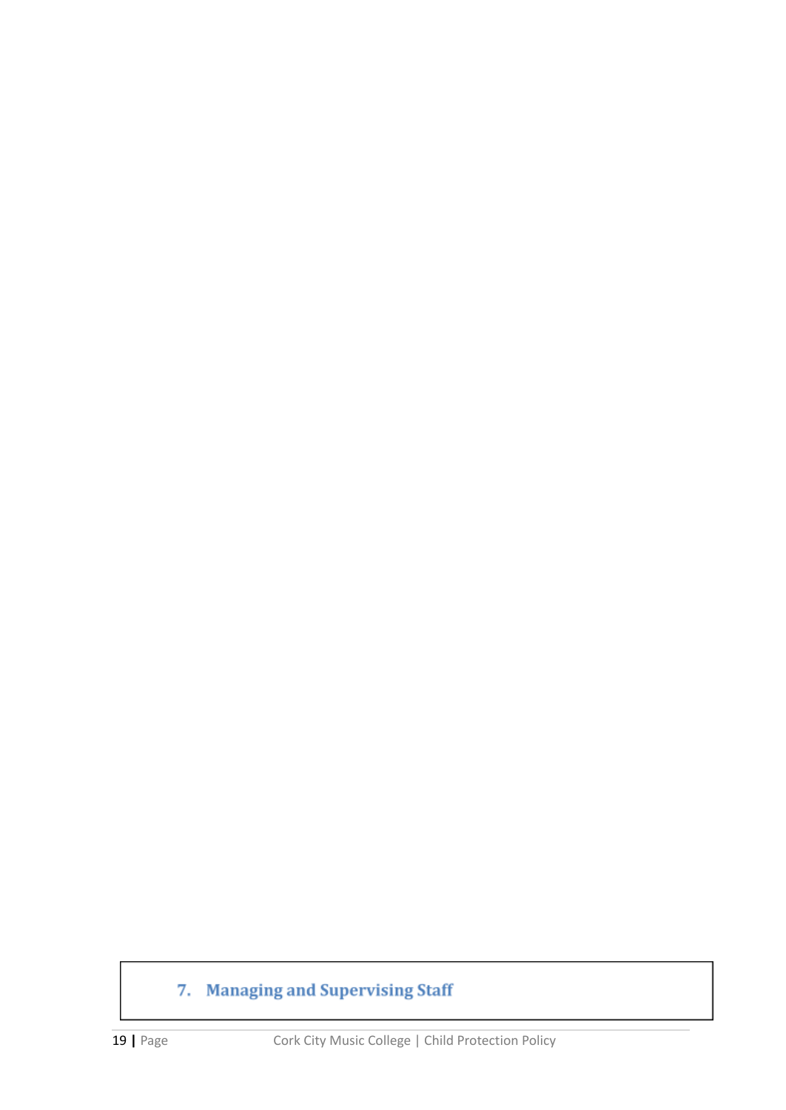# 7. Managing and Supervising Staff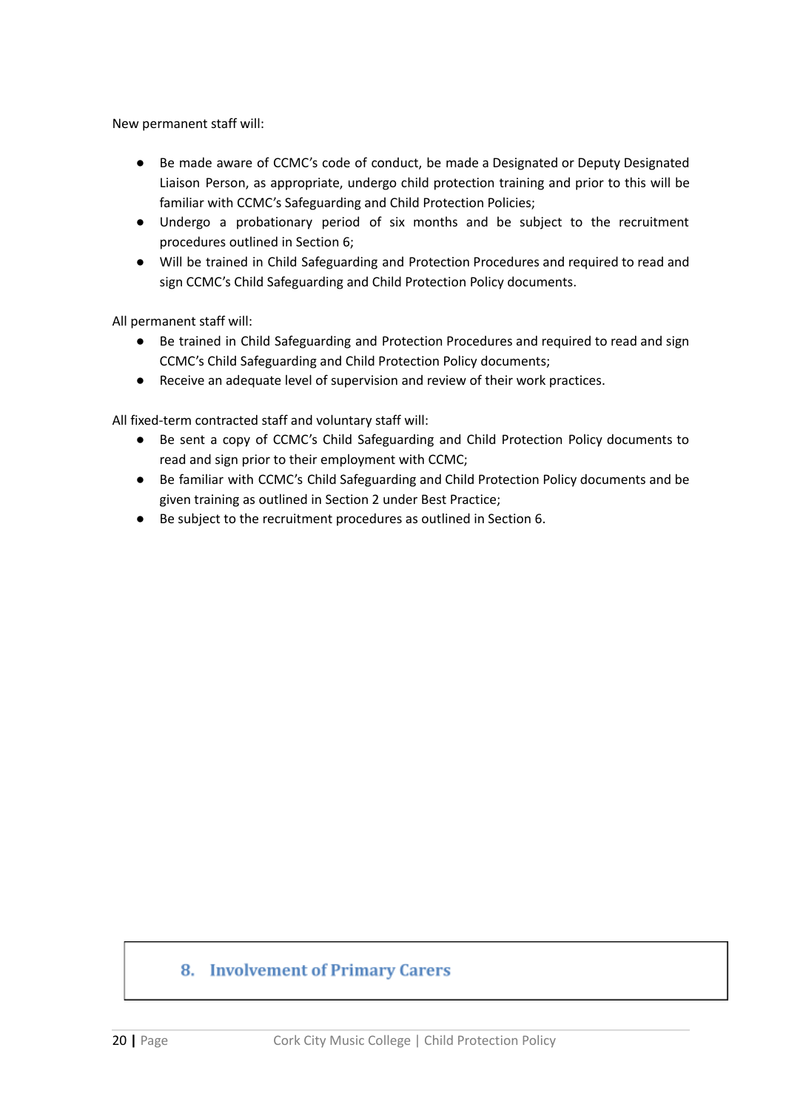New permanent staff will:

- Be made aware of CCMC's code of conduct, be made a Designated or Deputy Designated Liaison Person, as appropriate, undergo child protection training and prior to this will be familiar with CCMC's Safeguarding and Child Protection Policies;
- Undergo a probationary period of six months and be subject to the recruitment procedures outlined in Section 6;
- Will be trained in Child Safeguarding and Protection Procedures and required to read and sign CCMC's Child Safeguarding and Child Protection Policy documents.

All permanent staff will:

- Be trained in Child Safeguarding and Protection Procedures and required to read and sign CCMC's Child Safeguarding and Child Protection Policy documents;
- Receive an adequate level of supervision and review of their work practices.

All fixed-term contracted staff and voluntary staff will:

- Be sent a copy of CCMC's Child Safeguarding and Child Protection Policy documents to read and sign prior to their employment with CCMC;
- Be familiar with CCMC's Child Safeguarding and Child Protection Policy documents and be given training as outlined in Section 2 under Best Practice;
- Be subject to the recruitment procedures as outlined in Section 6.

## 8. Involvement of Primary Carers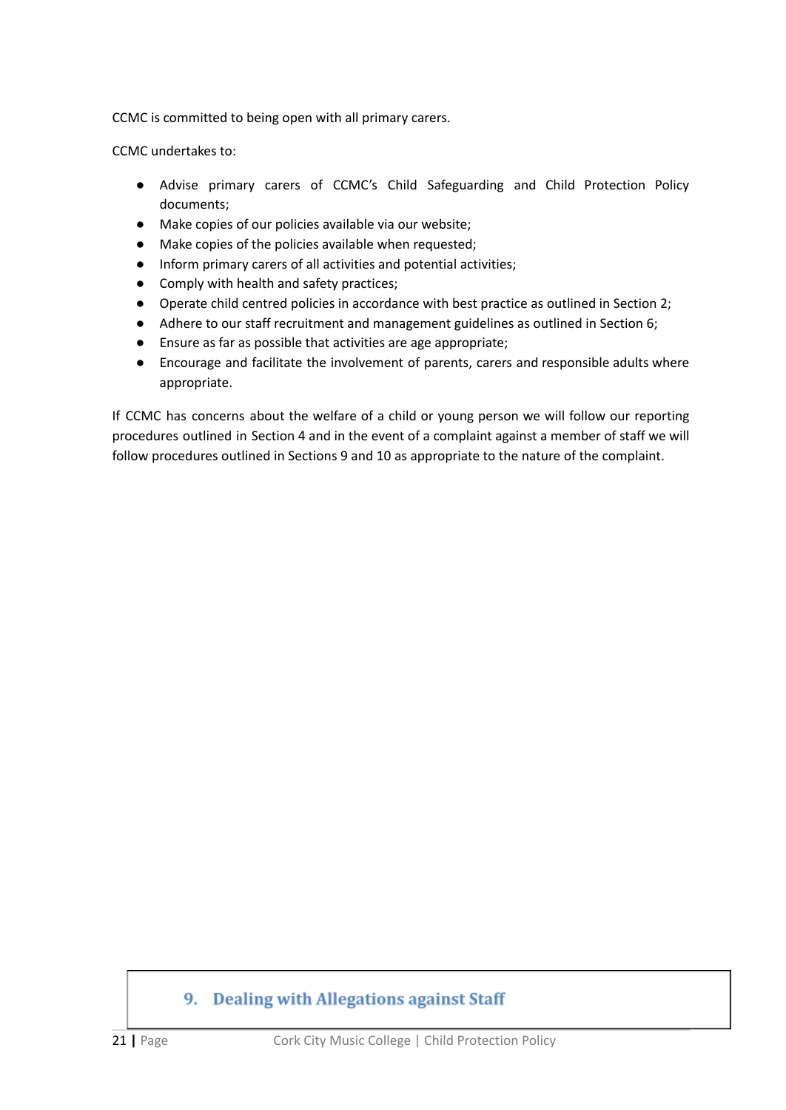CCMC is committed to being open with all primary carers.

CCMC undertakes to:

- Advise primary carers of CCMC's Child Safeguarding and Child Protection Policy documents;
- Make copies of our policies available via our website;
- Make copies of the policies available when requested;
- Inform primary carers of all activities and potential activities;
- Comply with health and safety practices;
- Operate child centred policies in accordance with best practice as outlined in Section 2;
- Adhere to our staff recruitment and management guidelines as outlined in Section 6;
- Ensure as far as possible that activities are age appropriate;
- Encourage and facilitate the involvement of parents, carers and responsible adults where appropriate.

If CCMC has concerns about the welfare of a child or young person we will follow our reporting procedures outlined in Section 4 and in the event of a complaint against a member of staff we will follow procedures outlined in Sections 9 and 10 as appropriate to the nature of the complaint.

## 9. Dealing with Allegations against Staff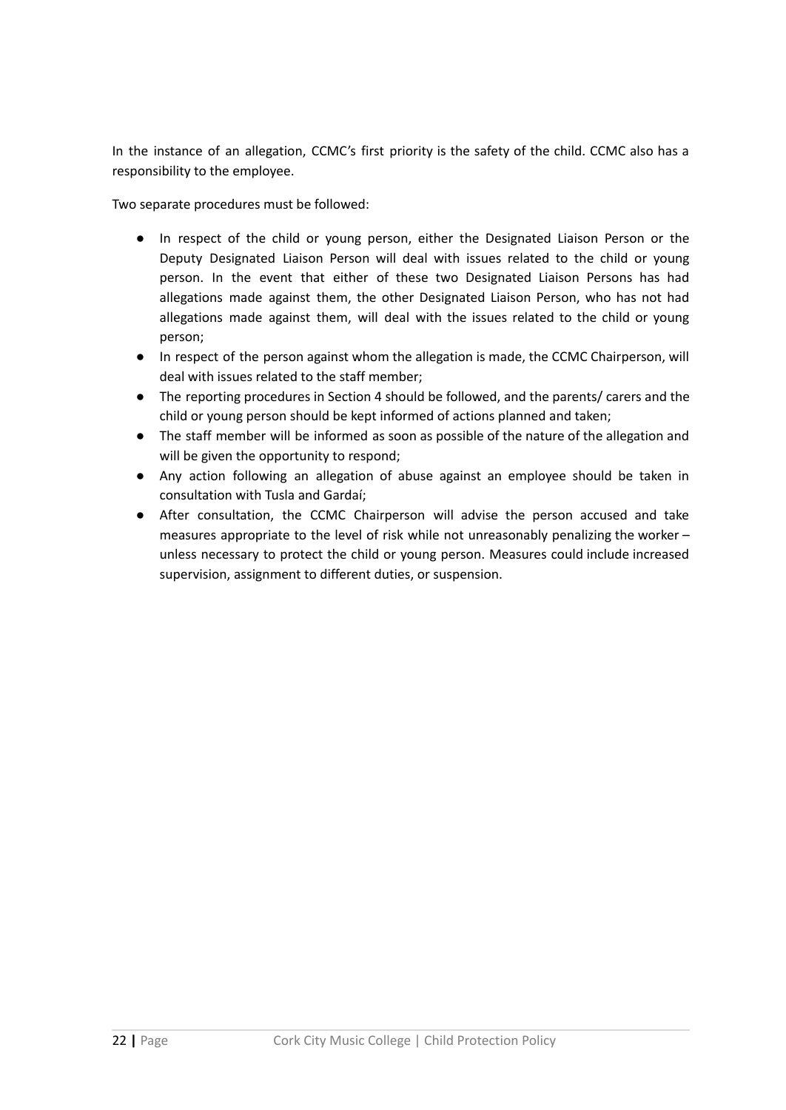In the instance of an allegation, CCMC's first priority is the safety of the child. CCMC also has a responsibility to the employee.

Two separate procedures must be followed:

- In respect of the child or young person, either the Designated Liaison Person or the Deputy Designated Liaison Person will deal with issues related to the child or young person. In the event that either of these two Designated Liaison Persons has had allegations made against them, the other Designated Liaison Person, who has not had allegations made against them, will deal with the issues related to the child or young person;
- In respect of the person against whom the allegation is made, the CCMC Chairperson, will deal with issues related to the staff member;
- The reporting procedures in Section 4 should be followed, and the parents/ carers and the child or young person should be kept informed of actions planned and taken;
- The staff member will be informed as soon as possible of the nature of the allegation and will be given the opportunity to respond;
- Any action following an allegation of abuse against an employee should be taken in consultation with Tusla and Gardaí;
- After consultation, the CCMC Chairperson will advise the person accused and take measures appropriate to the level of risk while not unreasonably penalizing the worker – unless necessary to protect the child or young person. Measures could include increased supervision, assignment to different duties, or suspension.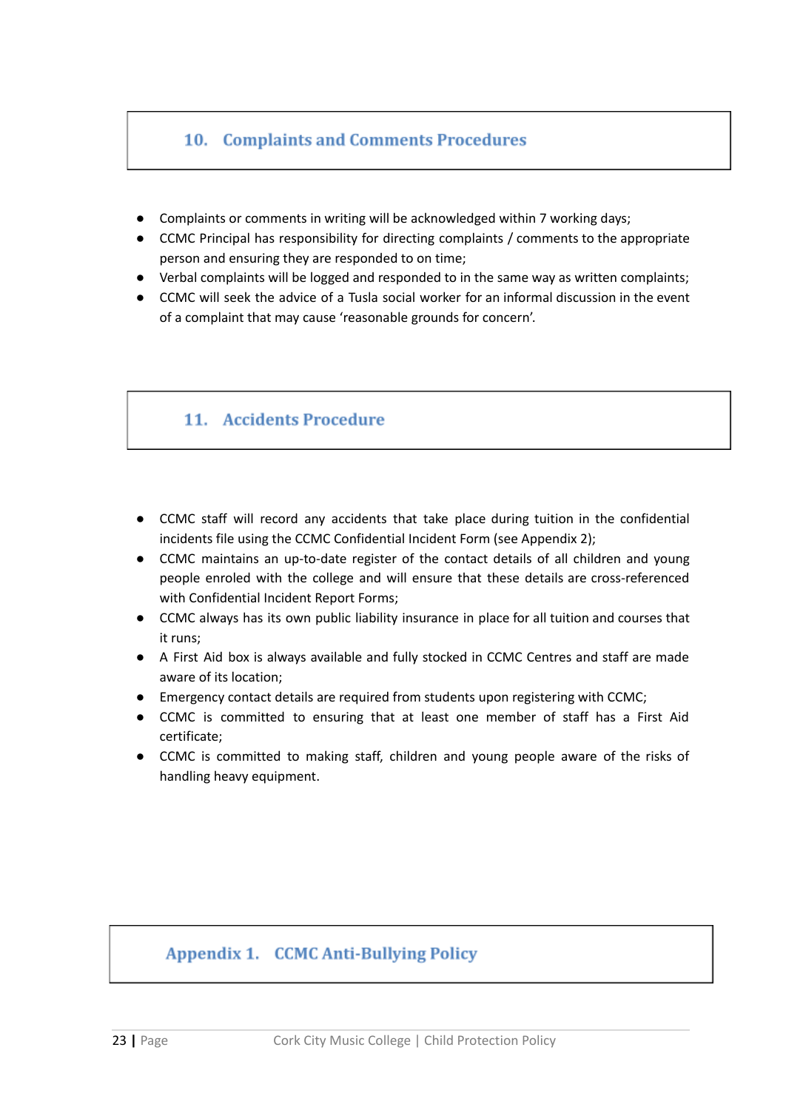## 10. Complaints and Comments Procedures

- Complaints or comments in writing will be acknowledged within 7 working days;
- CCMC Principal has responsibility for directing complaints / comments to the appropriate person and ensuring they are responded to on time;
- Verbal complaints will be logged and responded to in the same way as written complaints;
- CCMC will seek the advice of a Tusla social worker for an informal discussion in the event of a complaint that may cause 'reasonable grounds for concern'.

## 11. Accidents Procedure

- CCMC staff will record any accidents that take place during tuition in the confidential incidents file using the CCMC Confidential Incident Form (see Appendix 2);
- CCMC maintains an up-to-date register of the contact details of all children and young people enroled with the college and will ensure that these details are cross-referenced with Confidential Incident Report Forms;
- CCMC always has its own public liability insurance in place for all tuition and courses that it runs;
- A First Aid box is always available and fully stocked in CCMC Centres and staff are made aware of its location;
- Emergency contact details are required from students upon registering with CCMC;
- CCMC is committed to ensuring that at least one member of staff has a First Aid certificate;
- CCMC is committed to making staff, children and young people aware of the risks of handling heavy equipment.

## **Appendix 1. CCMC Anti-Bullying Policy**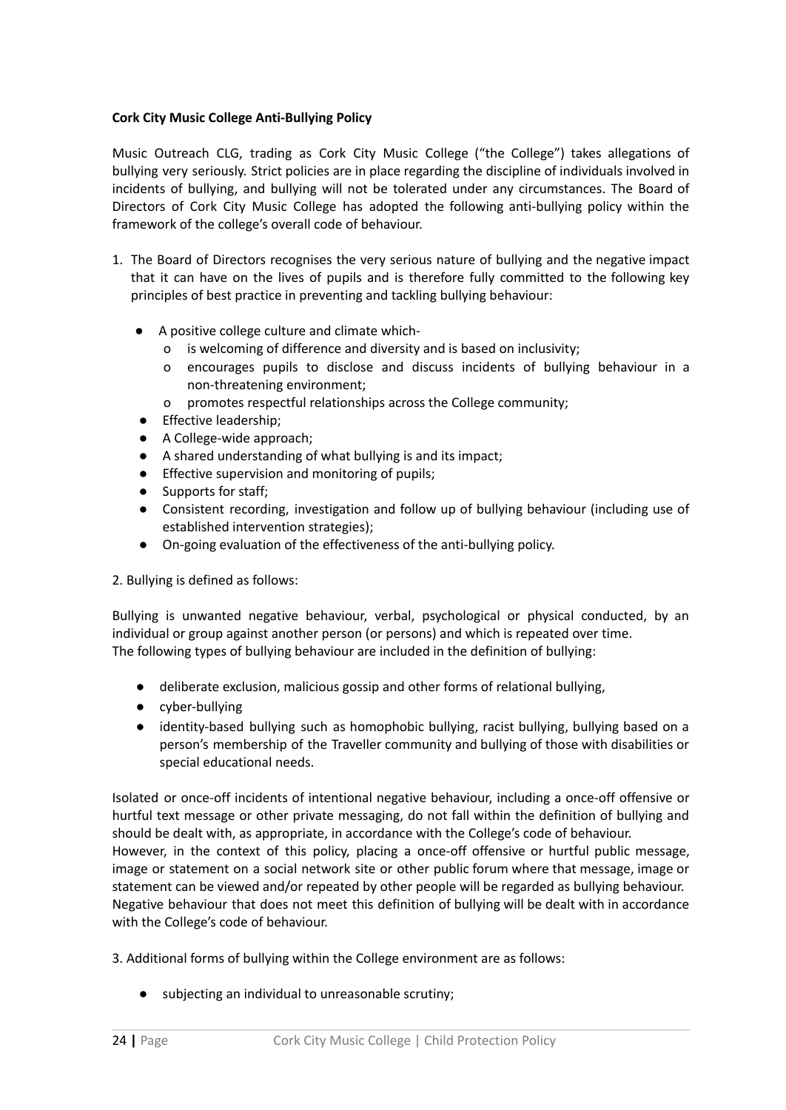### **Cork City Music College Anti-Bullying Policy**

Music Outreach CLG, trading as Cork City Music College ("the College") takes allegations of bullying very seriously. Strict policies are in place regarding the discipline of individuals involved in incidents of bullying, and bullying will not be tolerated under any circumstances. The Board of Directors of Cork City Music College has adopted the following anti-bullying policy within the framework of the college's overall code of behaviour.

- 1. The Board of Directors recognises the very serious nature of bullying and the negative impact that it can have on the lives of pupils and is therefore fully committed to the following key principles of best practice in preventing and tackling bullying behaviour:
	- A positive college culture and climate which
		- o is welcoming of difference and diversity and is based on inclusivity;
		- o encourages pupils to disclose and discuss incidents of bullying behaviour in a non-threatening environment;
		- o promotes respectful relationships across the College community;
	- Effective leadership;
	- A College-wide approach;
	- A shared understanding of what bullying is and its impact;
	- Effective supervision and monitoring of pupils;
	- Supports for staff;
	- Consistent recording, investigation and follow up of bullying behaviour (including use of established intervention strategies);
	- On-going evaluation of the effectiveness of the anti-bullying policy.

2. Bullying is defined as follows:

Bullying is unwanted negative behaviour, verbal, psychological or physical conducted, by an individual or group against another person (or persons) and which is repeated over time. The following types of bullying behaviour are included in the definition of bullying:

- deliberate exclusion, malicious gossip and other forms of relational bullying,
- cyber-bullying
- identity-based bullying such as homophobic bullying, racist bullying, bullying based on a person's membership of the Traveller community and bullying of those with disabilities or special educational needs.

Isolated or once-off incidents of intentional negative behaviour, including a once-off offensive or hurtful text message or other private messaging, do not fall within the definition of bullying and should be dealt with, as appropriate, in accordance with the College's code of behaviour. However, in the context of this policy, placing a once-off offensive or hurtful public message, image or statement on a social network site or other public forum where that message, image or statement can be viewed and/or repeated by other people will be regarded as bullying behaviour. Negative behaviour that does not meet this definition of bullying will be dealt with in accordance with the College's code of behaviour.

3. Additional forms of bullying within the College environment are as follows:

● subjecting an individual to unreasonable scrutiny;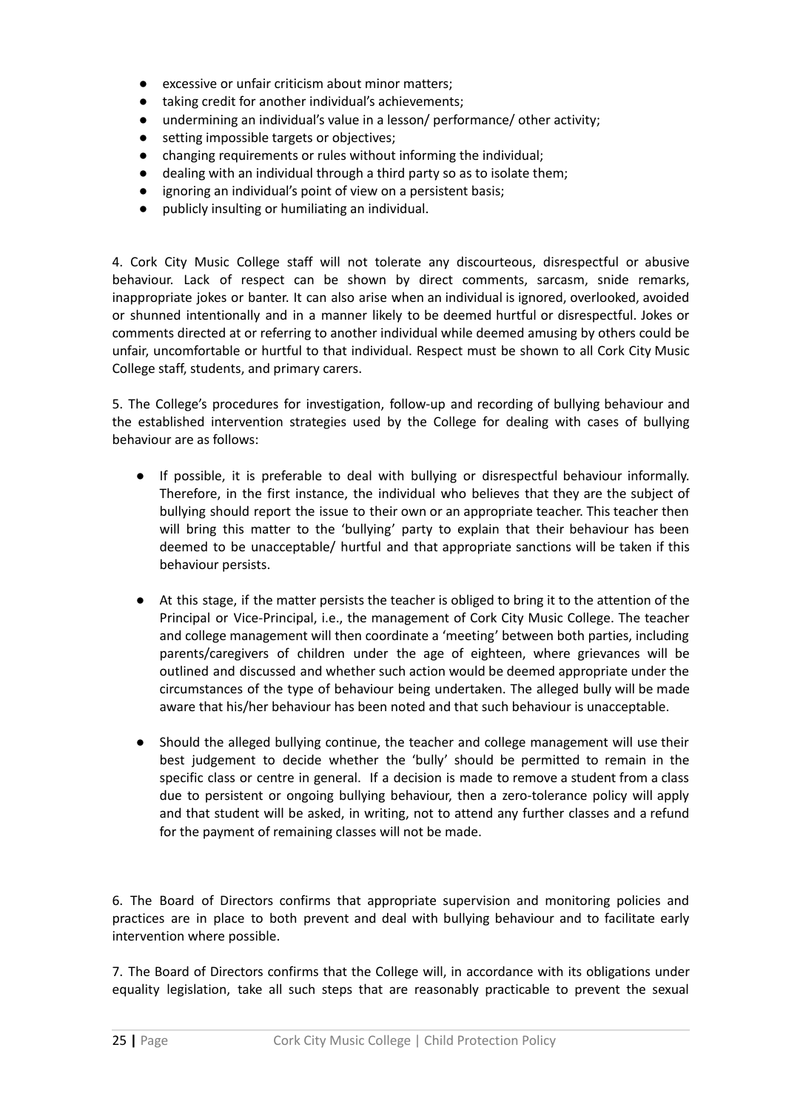- excessive or unfair criticism about minor matters;
- taking credit for another individual's achievements;
- undermining an individual's value in a lesson/ performance/ other activity;
- setting impossible targets or objectives;
- changing requirements or rules without informing the individual;
- dealing with an individual through a third party so as to isolate them;
- ignoring an individual's point of view on a persistent basis;
- publicly insulting or humiliating an individual.

4. Cork City Music College staff will not tolerate any discourteous, disrespectful or abusive behaviour. Lack of respect can be shown by direct comments, sarcasm, snide remarks, inappropriate jokes or banter. It can also arise when an individual is ignored, overlooked, avoided or shunned intentionally and in a manner likely to be deemed hurtful or disrespectful. Jokes or comments directed at or referring to another individual while deemed amusing by others could be unfair, uncomfortable or hurtful to that individual. Respect must be shown to all Cork City Music College staff, students, and primary carers.

5. The College's procedures for investigation, follow-up and recording of bullying behaviour and the established intervention strategies used by the College for dealing with cases of bullying behaviour are as follows:

- If possible, it is preferable to deal with bullying or disrespectful behaviour informally. Therefore, in the first instance, the individual who believes that they are the subject of bullying should report the issue to their own or an appropriate teacher. This teacher then will bring this matter to the 'bullying' party to explain that their behaviour has been deemed to be unacceptable/ hurtful and that appropriate sanctions will be taken if this behaviour persists.
- At this stage, if the matter persists the teacher is obliged to bring it to the attention of the Principal or Vice-Principal, i.e., the management of Cork City Music College. The teacher and college management will then coordinate a 'meeting' between both parties, including parents/caregivers of children under the age of eighteen, where grievances will be outlined and discussed and whether such action would be deemed appropriate under the circumstances of the type of behaviour being undertaken. The alleged bully will be made aware that his/her behaviour has been noted and that such behaviour is unacceptable.
- Should the alleged bullying continue, the teacher and college management will use their best judgement to decide whether the 'bully' should be permitted to remain in the specific class or centre in general. If a decision is made to remove a student from a class due to persistent or ongoing bullying behaviour, then a zero-tolerance policy will apply and that student will be asked, in writing, not to attend any further classes and a refund for the payment of remaining classes will not be made.

6. The Board of Directors confirms that appropriate supervision and monitoring policies and practices are in place to both prevent and deal with bullying behaviour and to facilitate early intervention where possible.

7. The Board of Directors confirms that the College will, in accordance with its obligations under equality legislation, take all such steps that are reasonably practicable to prevent the sexual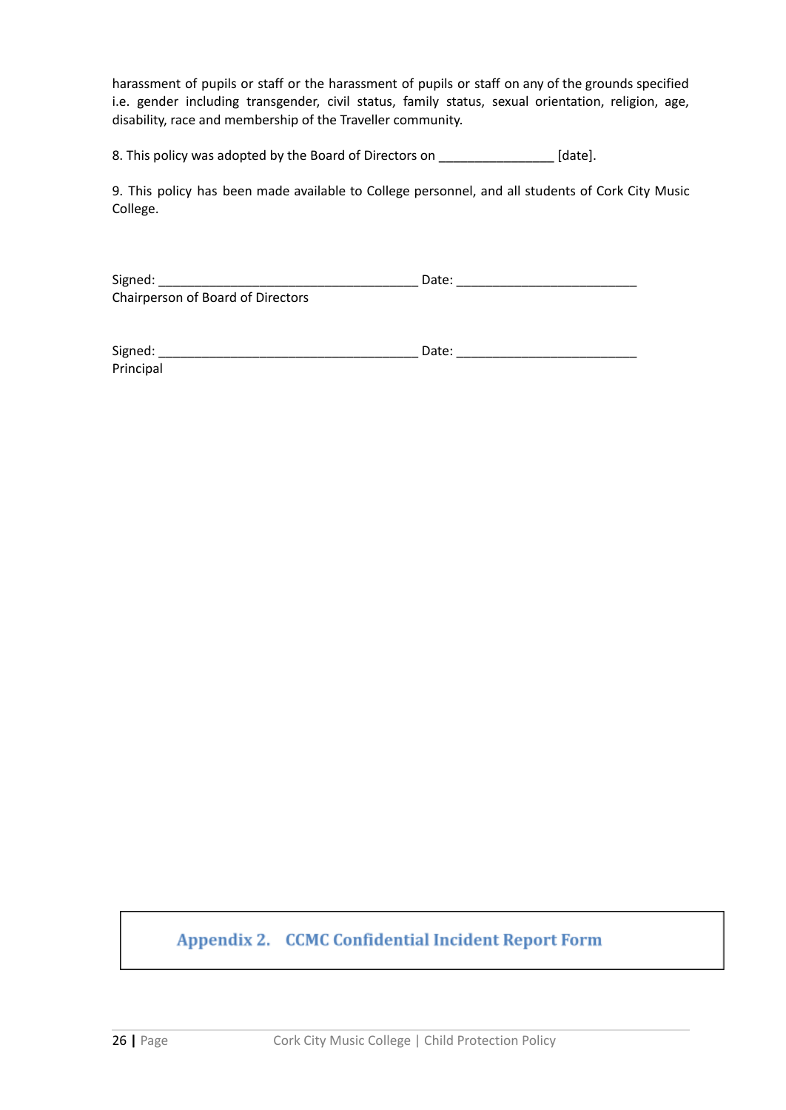harassment of pupils or staff or the harassment of pupils or staff on any of the grounds specified i.e. gender including transgender, civil status, family status, sexual orientation, religion, age, disability, race and membership of the Traveller community.

8. This policy was adopted by the Board of Directors on \_\_\_\_\_\_\_\_\_\_\_\_\_\_\_\_\_\_ [date].

9. This policy has been made available to College personnel, and all students of Cork City Music College.

Signed: \_\_\_\_\_\_\_\_\_\_\_\_\_\_\_\_\_\_\_\_\_\_\_\_\_\_\_\_\_\_\_\_\_\_\_\_ Date: \_\_\_\_\_\_\_\_\_\_\_\_\_\_\_\_\_\_\_\_\_\_\_\_\_ Chairperson of Board of Directors

| Signed:   | Date: |
|-----------|-------|
| Principal |       |

## **Appendix 2. CCMC Confidential Incident Report Form**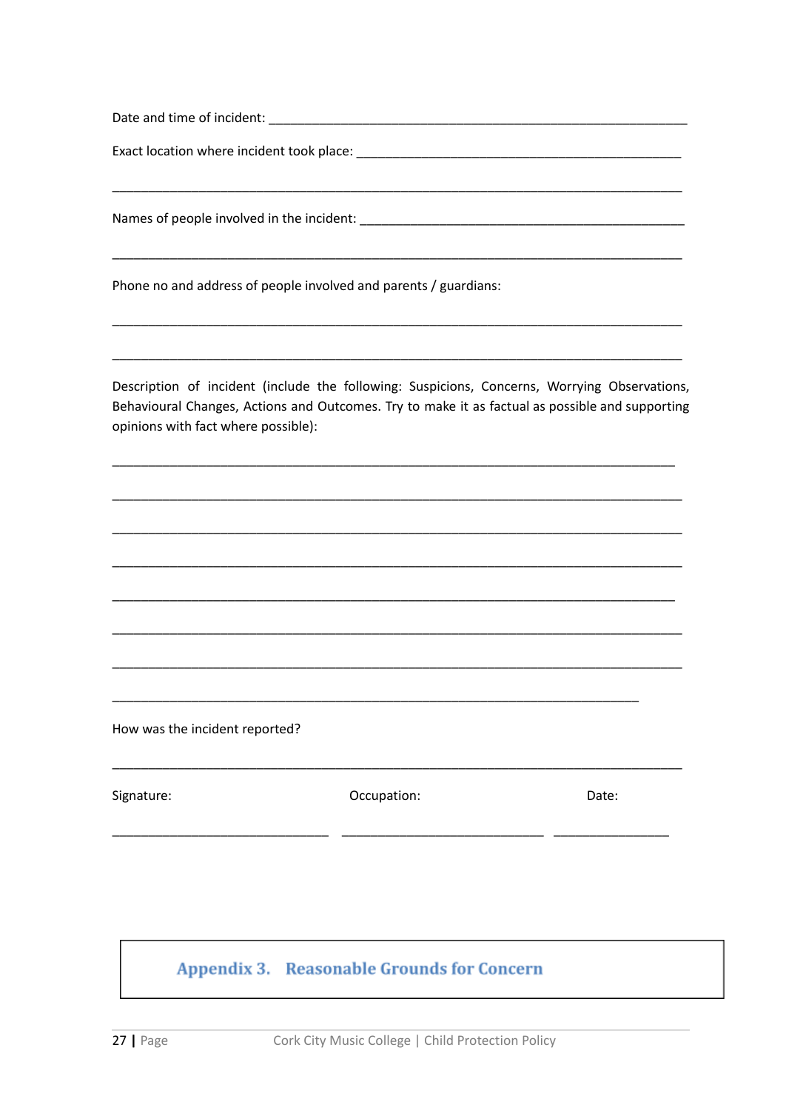|  |  |  |  | Date and time of incident: |  |
|--|--|--|--|----------------------------|--|
|--|--|--|--|----------------------------|--|

Phone no and address of people involved and parents / guardians:

Description of incident (include the following: Suspicions, Concerns, Worrying Observations, Behavioural Changes, Actions and Outcomes. Try to make it as factual as possible and supporting opinions with fact where possible):

How was the incident reported?

Signature:

Occupation:

Date:

## Appendix 3. Reasonable Grounds for Concern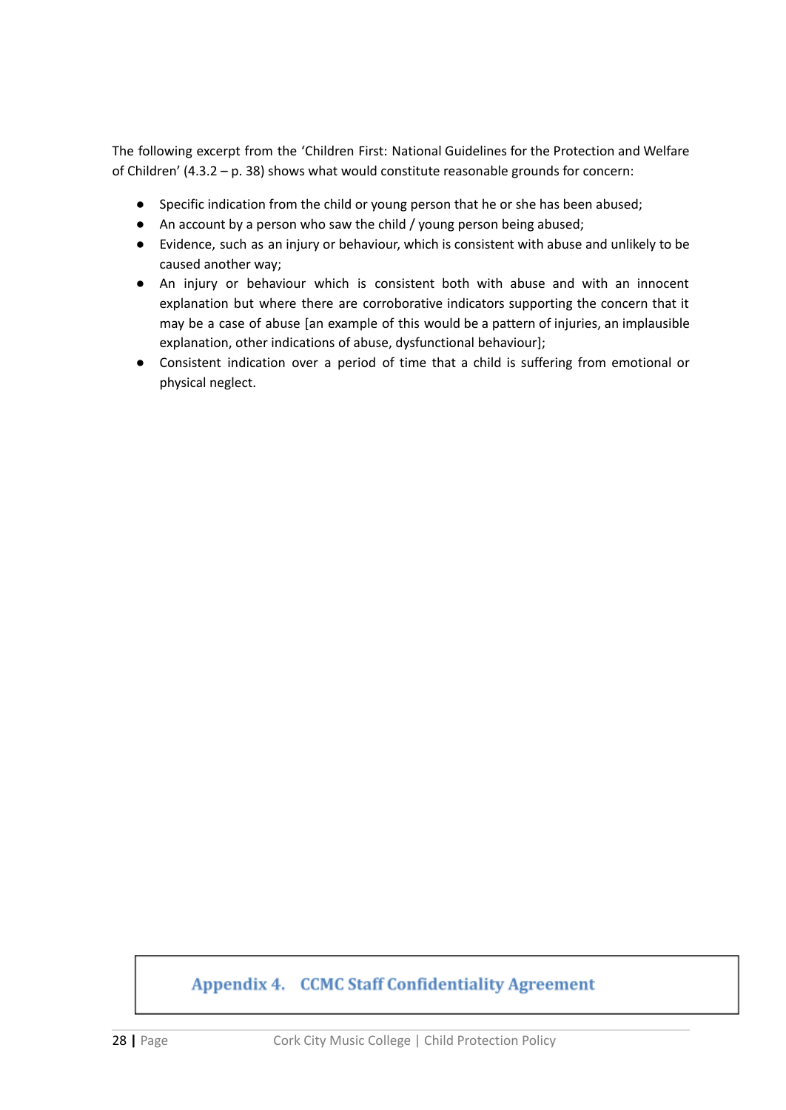The following excerpt from the 'Children First: National Guidelines for the Protection and Welfare of Children' (4.3.2 – p. 38) shows what would constitute reasonable grounds for concern:

- Specific indication from the child or young person that he or she has been abused;
- An account by a person who saw the child / young person being abused;
- Evidence, such as an injury or behaviour, which is consistent with abuse and unlikely to be caused another way;
- An injury or behaviour which is consistent both with abuse and with an innocent explanation but where there are corroborative indicators supporting the concern that it may be a case of abuse [an example of this would be a pattern of injuries, an implausible explanation, other indications of abuse, dysfunctional behaviour];
- Consistent indication over a period of time that a child is suffering from emotional or physical neglect.

## **Appendix 4. CCMC Staff Confidentiality Agreement**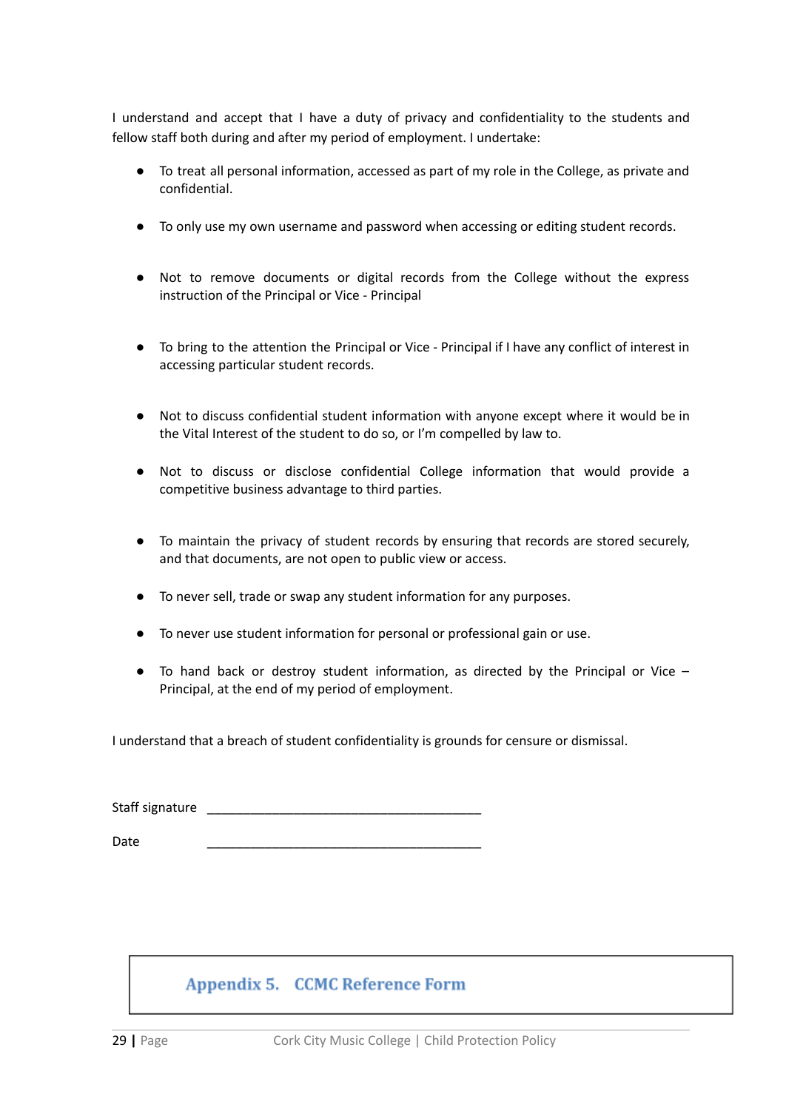I understand and accept that I have a duty of privacy and confidentiality to the students and fellow staff both during and after my period of employment. I undertake:

- To treat all personal information, accessed as part of my role in the College, as private and confidential.
- To only use my own username and password when accessing or editing student records.
- Not to remove documents or digital records from the College without the express instruction of the Principal or Vice - Principal
- To bring to the attention the Principal or Vice Principal if I have any conflict of interest in accessing particular student records.
- Not to discuss confidential student information with anyone except where it would be in the Vital Interest of the student to do so, or I'm compelled by law to.
- Not to discuss or disclose confidential College information that would provide a competitive business advantage to third parties.
- To maintain the privacy of student records by ensuring that records are stored securely, and that documents, are not open to public view or access.
- To never sell, trade or swap any student information for any purposes.
- To never use student information for personal or professional gain or use.
- To hand back or destroy student information, as directed by the Principal or Vice Principal, at the end of my period of employment.

I understand that a breach of student confidentiality is grounds for censure or dismissal.

Staff signature \_\_\_\_\_\_\_\_\_\_\_\_\_\_\_\_\_\_\_\_\_\_\_\_\_\_\_\_\_\_\_\_\_\_\_\_\_\_

Date \_\_\_\_\_\_\_\_\_\_\_\_\_\_\_\_\_\_\_\_\_\_\_\_\_\_\_\_\_\_\_\_\_\_\_\_\_\_

## **Appendix 5. CCMC Reference Form**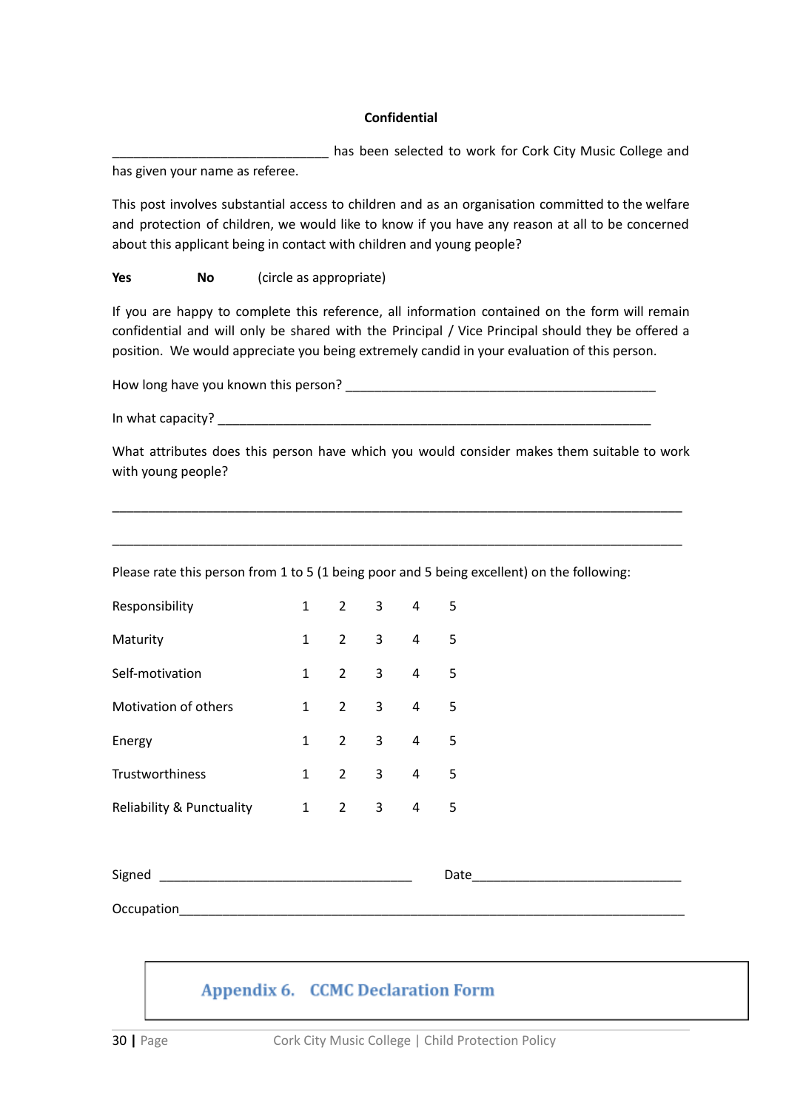#### **Confidential**

has been selected to work for Cork City Music College and has given your name as referee.

This post involves substantial access to children and as an organisation committed to the welfare and protection of children, we would like to know if you have any reason at all to be concerned about this applicant being in contact with children and young people?

#### **Yes No** (circle as appropriate)

If you are happy to complete this reference, all information contained on the form will remain confidential and will only be shared with the Principal / Vice Principal should they be offered a position. We would appreciate you being extremely candid in your evaluation of this person.

How long have you known this person? \_\_\_\_\_\_\_\_\_\_\_\_\_\_\_\_\_\_\_\_\_\_\_\_\_\_\_\_\_\_\_\_\_\_\_\_\_\_\_\_\_\_\_

In what capacity? \_\_\_\_\_\_\_\_\_\_\_\_\_\_\_\_\_\_\_\_\_\_\_\_\_\_\_\_\_\_\_\_\_\_\_\_\_\_\_\_\_\_\_\_\_\_\_\_\_\_\_\_\_\_\_\_\_\_\_\_

What attributes does this person have which you would consider makes them suitable to work with young people?

\_\_\_\_\_\_\_\_\_\_\_\_\_\_\_\_\_\_\_\_\_\_\_\_\_\_\_\_\_\_\_\_\_\_\_\_\_\_\_\_\_\_\_\_\_\_\_\_\_\_\_\_\_\_\_\_\_\_\_\_\_\_\_\_\_\_\_\_\_\_\_\_\_\_\_\_\_\_\_

\_\_\_\_\_\_\_\_\_\_\_\_\_\_\_\_\_\_\_\_\_\_\_\_\_\_\_\_\_\_\_\_\_\_\_\_\_\_\_\_\_\_\_\_\_\_\_\_\_\_\_\_\_\_\_\_\_\_\_\_\_\_\_\_\_\_\_\_\_\_\_\_\_\_\_\_\_\_\_

Please rate this person from 1 to 5 (1 being poor and 5 being excellent) on the following:

| Responsibility            | 1 | $\overline{2}$ | 3 | 4 | 5. |
|---------------------------|---|----------------|---|---|----|
| Maturity                  | 1 | $\overline{2}$ | 3 | 4 | 5. |
| Self-motivation           | 1 | $\overline{2}$ | 3 | 4 | 5  |
| Motivation of others      | 1 | $\overline{2}$ | 3 | 4 | 5. |
| Energy                    | 1 | $\overline{2}$ | 3 | 4 | 5  |
| Trustworthiness           | 1 | 2              | 3 | 4 | 5. |
| Reliability & Punctuality | 1 | 2              | 3 | 4 | 5  |

| $\sim$<br>. . |  |
|---------------|--|
|               |  |

Occupation\_\_\_\_\_\_\_\_\_\_\_\_\_\_\_\_\_\_\_\_\_\_\_\_\_\_\_\_\_\_\_\_\_\_\_\_\_\_\_\_\_\_\_\_\_\_\_\_\_\_\_\_\_\_\_\_\_\_\_\_\_\_\_\_\_\_\_\_\_\_

## **Appendix 6. CCMC Declaration Form**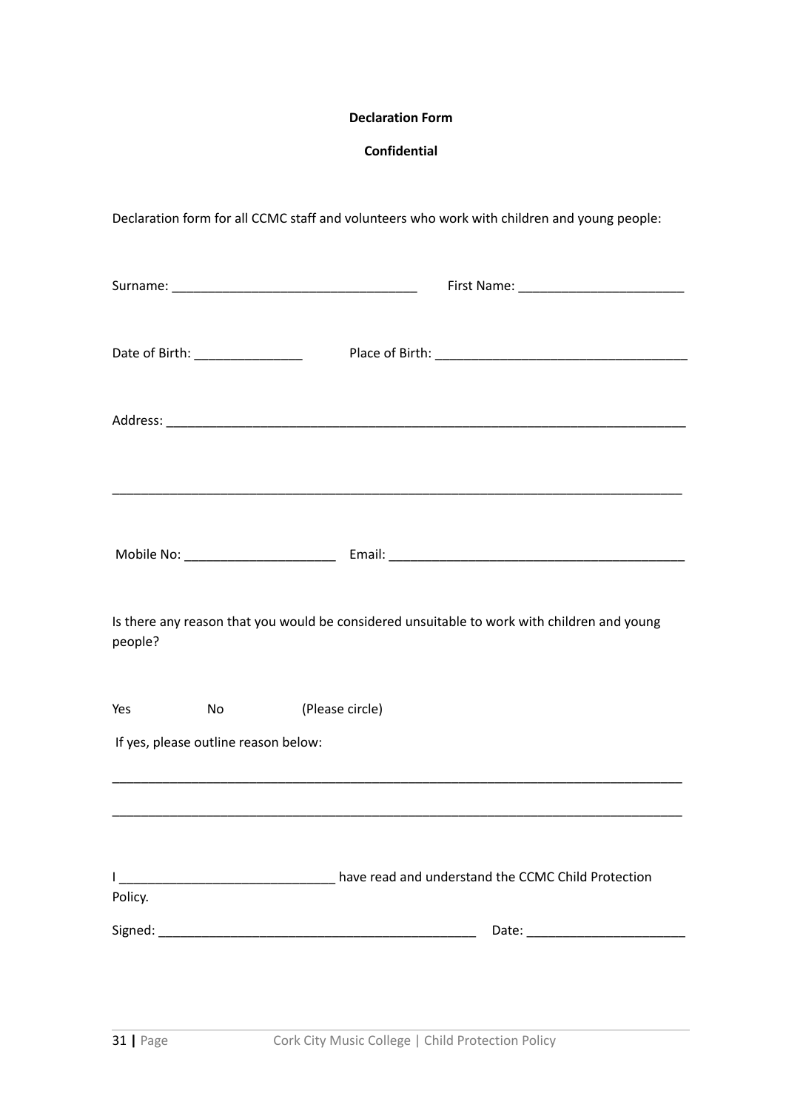#### **Declaration Form**

### **Confidential**

| Declaration form for all CCMC staff and volunteers who work with children and young people: |  |
|---------------------------------------------------------------------------------------------|--|
|                                                                                             |  |
|                                                                                             |  |

| Date of Birth: _________________                                                            |
|---------------------------------------------------------------------------------------------|
|                                                                                             |
|                                                                                             |
|                                                                                             |
|                                                                                             |
| Is there any reason that you would be considered unsuitable to work with children and young |
| (Please circle)                                                                             |
|                                                                                             |
|                                                                                             |
| diality have read and understand the CCMC Child Protection                                  |
|                                                                                             |
|                                                                                             |
|                                                                                             |